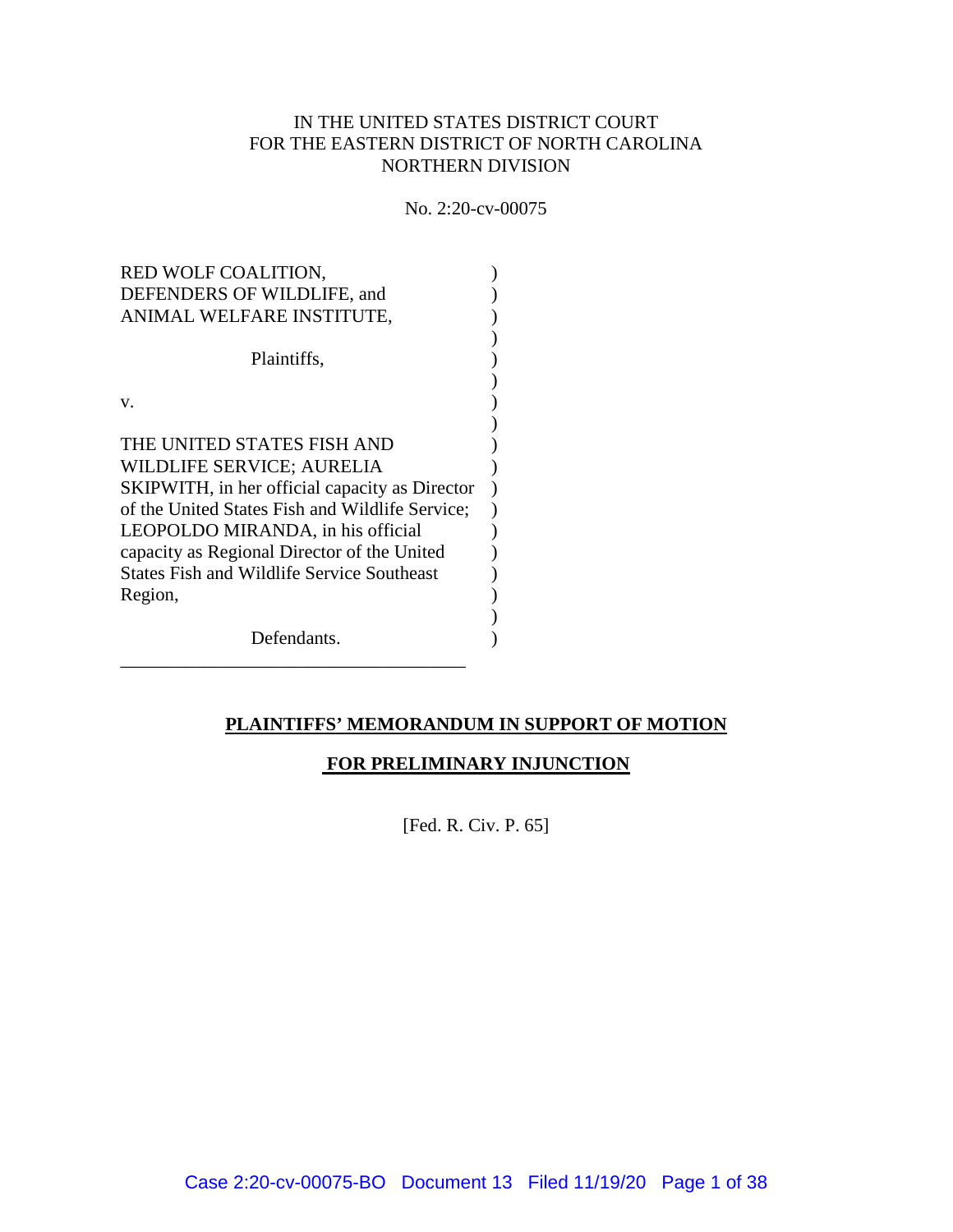# IN THE UNITED STATES DISTRICT COURT FOR THE EASTERN DISTRICT OF NORTH CAROLINA NORTHERN DIVISION

No. 2:20-cv-00075

| RED WOLF COALITION,<br>DEFENDERS OF WILDLIFE, and                                                                                   |  |
|-------------------------------------------------------------------------------------------------------------------------------------|--|
| ANIMAL WELFARE INSTITUTE,                                                                                                           |  |
| Plaintiffs,                                                                                                                         |  |
| V.                                                                                                                                  |  |
| THE UNITED STATES FISH AND<br>WILDLIFE SERVICE; AURELIA<br>SKIPWITH, in her official capacity as Director                           |  |
| of the United States Fish and Wildlife Service;<br>LEOPOLDO MIRANDA, in his official<br>capacity as Regional Director of the United |  |
| <b>States Fish and Wildlife Service Southeast</b><br>Region,                                                                        |  |
| Defendants.                                                                                                                         |  |

# **PLAINTIFFS' MEMORANDUM IN SUPPORT OF MOTION**

# **FOR PRELIMINARY INJUNCTION**

[Fed. R. Civ. P. 65]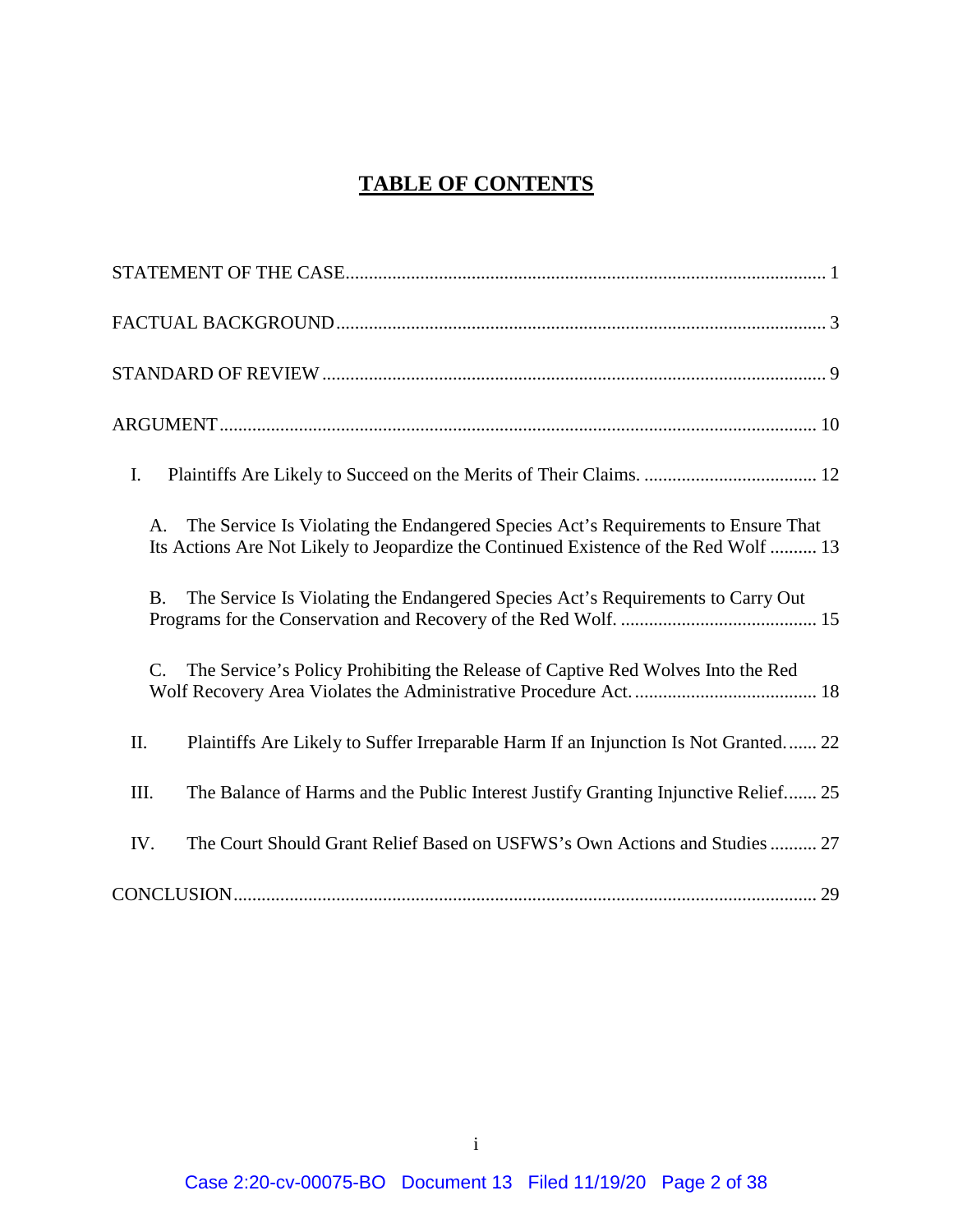# **TABLE OF CONTENTS**

| I.                                                                                                                                                                              |
|---------------------------------------------------------------------------------------------------------------------------------------------------------------------------------|
| The Service Is Violating the Endangered Species Act's Requirements to Ensure That<br>A.<br>Its Actions Are Not Likely to Jeopardize the Continued Existence of the Red Wolf  13 |
| The Service Is Violating the Endangered Species Act's Requirements to Carry Out<br><b>B.</b>                                                                                    |
| The Service's Policy Prohibiting the Release of Captive Red Wolves Into the Red<br>$\mathbf{C}$ .                                                                               |
| Plaintiffs Are Likely to Suffer Irreparable Harm If an Injunction Is Not Granted 22<br>II.                                                                                      |
| The Balance of Harms and the Public Interest Justify Granting Injunctive Relief 25<br>III.                                                                                      |
| The Court Should Grant Relief Based on USFWS's Own Actions and Studies  27<br>IV.                                                                                               |
|                                                                                                                                                                                 |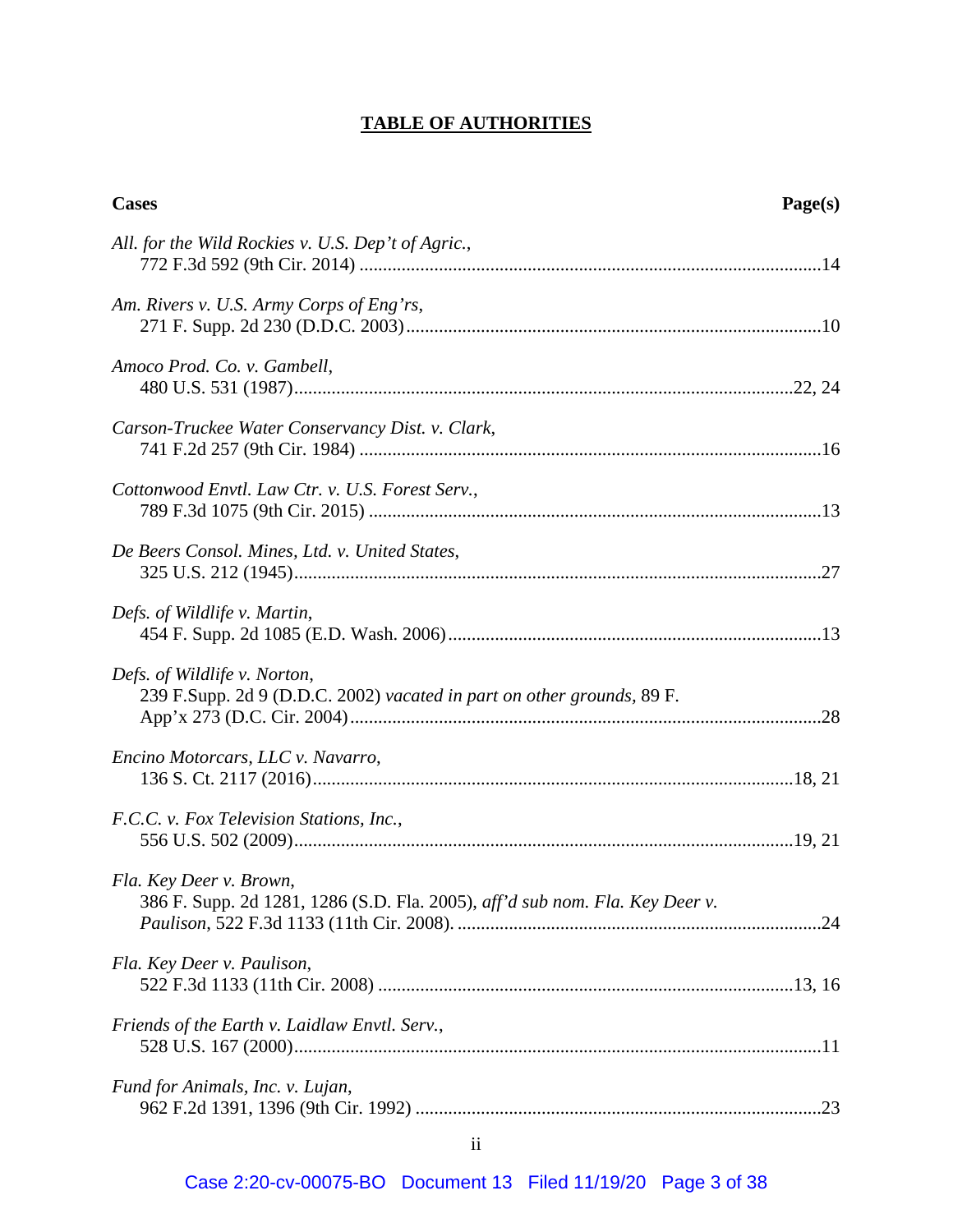# **TABLE OF AUTHORITIES**

| <b>Cases</b>                                                                                            | Page(s) |
|---------------------------------------------------------------------------------------------------------|---------|
| All. for the Wild Rockies v. U.S. Dep't of Agric.,                                                      |         |
| Am. Rivers v. U.S. Army Corps of Eng'rs,                                                                |         |
| Amoco Prod. Co. v. Gambell,                                                                             |         |
| Carson-Truckee Water Conservancy Dist. v. Clark,                                                        |         |
| Cottonwood Envtl. Law Ctr. v. U.S. Forest Serv.,                                                        |         |
| De Beers Consol. Mines, Ltd. v. United States,                                                          |         |
| Defs. of Wildlife v. Martin,                                                                            |         |
| Defs. of Wildlife v. Norton,<br>239 F.Supp. 2d 9 (D.D.C. 2002) vacated in part on other grounds, 89 F.  |         |
| Encino Motorcars, LLC v. Navarro,                                                                       |         |
| F.C.C. v. Fox Television Stations, Inc.,                                                                |         |
| Fla. Key Deer v. Brown,<br>386 F. Supp. 2d 1281, 1286 (S.D. Fla. 2005), aff'd sub nom. Fla. Key Deer v. |         |
| Fla. Key Deer v. Paulison,                                                                              |         |
| Friends of the Earth v. Laidlaw Envtl. Serv.,                                                           |         |
| Fund for Animals, Inc. v. Lujan,                                                                        |         |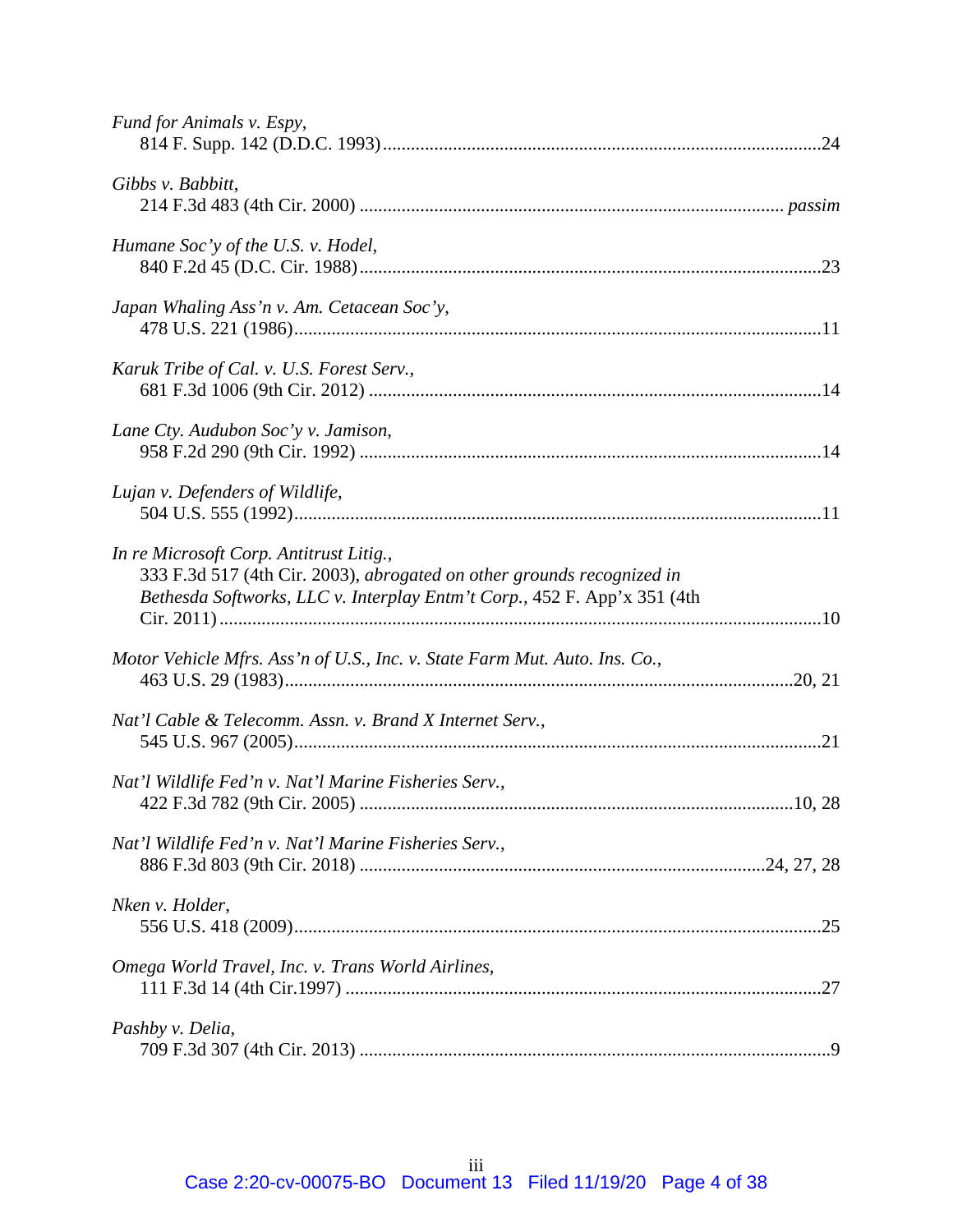| Fund for Animals v. Espy,                                                                                                                                                                     |  |
|-----------------------------------------------------------------------------------------------------------------------------------------------------------------------------------------------|--|
| Gibbs v. Babbitt,                                                                                                                                                                             |  |
| Humane Soc'y of the U.S. v. Hodel,                                                                                                                                                            |  |
| Japan Whaling Ass'n v. Am. Cetacean Soc'y,                                                                                                                                                    |  |
| Karuk Tribe of Cal. v. U.S. Forest Serv.,                                                                                                                                                     |  |
| Lane Cty. Audubon Soc'y v. Jamison,                                                                                                                                                           |  |
| Lujan v. Defenders of Wildlife,                                                                                                                                                               |  |
| In re Microsoft Corp. Antitrust Litig.,<br>333 F.3d 517 (4th Cir. 2003), abrogated on other grounds recognized in<br>Bethesda Softworks, LLC v. Interplay Entm't Corp., 452 F. App'x 351 (4th |  |
| Motor Vehicle Mfrs. Ass'n of U.S., Inc. v. State Farm Mut. Auto. Ins. Co.,                                                                                                                    |  |
| Nat'l Cable & Telecomm. Assn. v. Brand X Internet Serv.,                                                                                                                                      |  |
| Nat'l Wildlife Fed'n v. Nat'l Marine Fisheries Serv.,                                                                                                                                         |  |
| Nat'l Wildlife Fed'n v. Nat'l Marine Fisheries Serv.,                                                                                                                                         |  |
| Nken v. Holder,                                                                                                                                                                               |  |
| Omega World Travel, Inc. v. Trans World Airlines,                                                                                                                                             |  |
| Pashby v. Delia,                                                                                                                                                                              |  |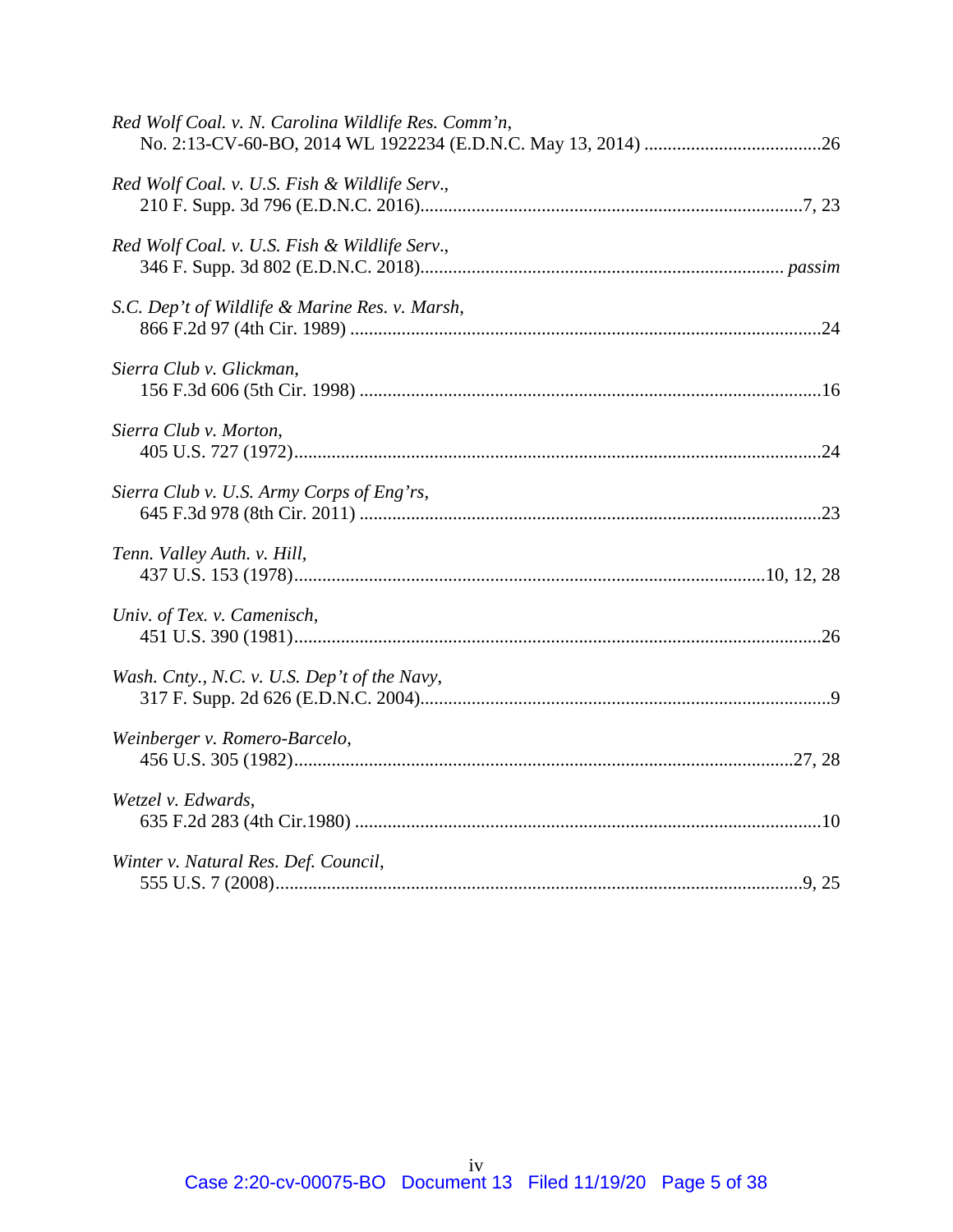| Red Wolf Coal. v. N. Carolina Wildlife Res. Comm'n, |
|-----------------------------------------------------|
| Red Wolf Coal. v. U.S. Fish & Wildlife Serv.,       |
| Red Wolf Coal. v. U.S. Fish & Wildlife Serv.,       |
| S.C. Dep't of Wildlife & Marine Res. v. Marsh,      |
| Sierra Club v. Glickman,                            |
| Sierra Club v. Morton,                              |
| Sierra Club v. U.S. Army Corps of Eng'rs,           |
| Tenn. Valley Auth. v. Hill,                         |
| Univ. of Tex. v. Camenisch,                         |
| Wash. Cnty., N.C. v. U.S. Dep't of the Navy,        |
| Weinberger v. Romero-Barcelo,                       |
| Wetzel v. Edwards,                                  |
| Winter v. Natural Res. Def. Council,                |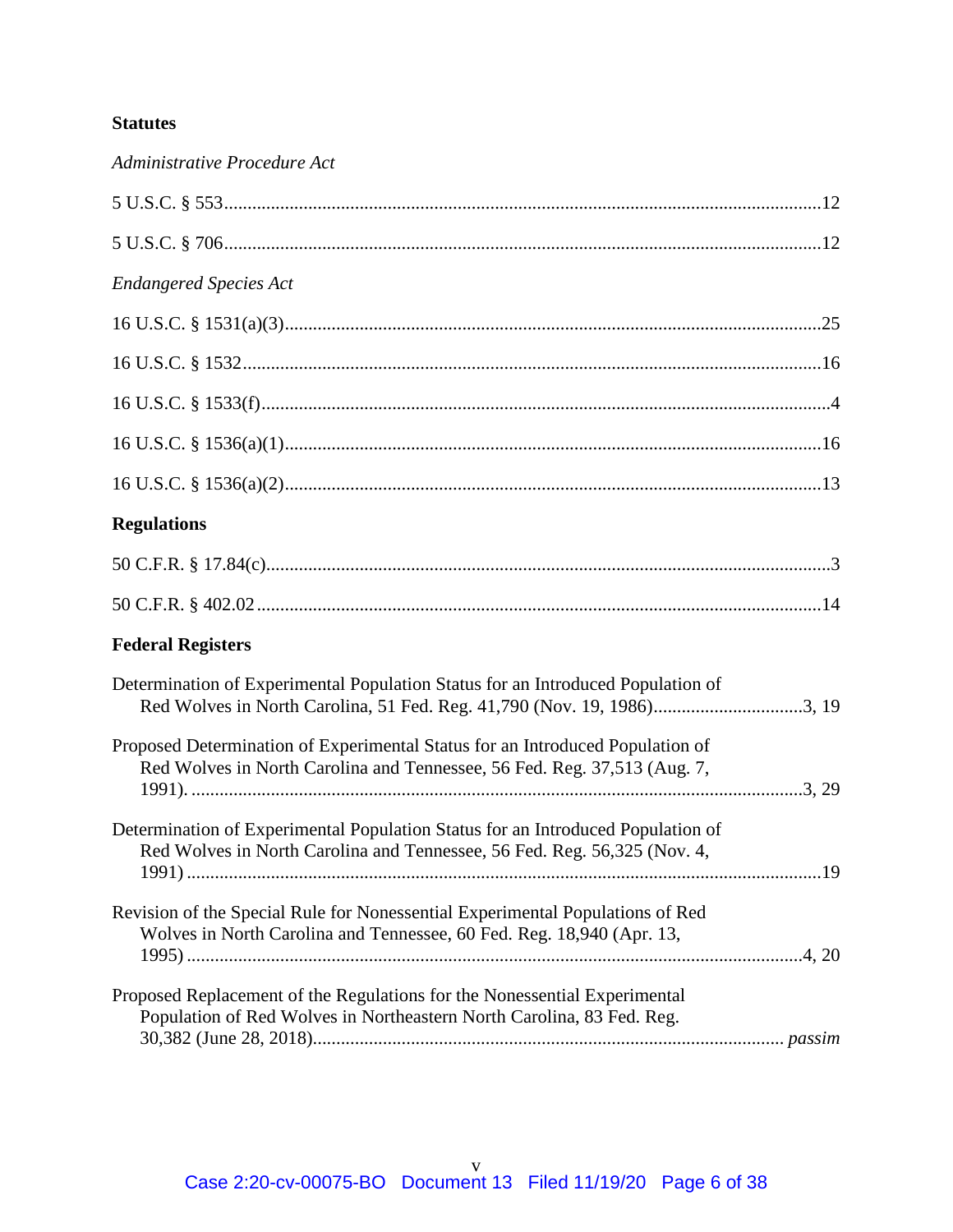# **Statutes**

| Administrative Procedure Act                                                                                                                                |  |
|-------------------------------------------------------------------------------------------------------------------------------------------------------------|--|
|                                                                                                                                                             |  |
|                                                                                                                                                             |  |
| <b>Endangered Species Act</b>                                                                                                                               |  |
|                                                                                                                                                             |  |
|                                                                                                                                                             |  |
|                                                                                                                                                             |  |
|                                                                                                                                                             |  |
|                                                                                                                                                             |  |
| <b>Regulations</b>                                                                                                                                          |  |
|                                                                                                                                                             |  |
|                                                                                                                                                             |  |
| <b>Federal Registers</b>                                                                                                                                    |  |
| Determination of Experimental Population Status for an Introduced Population of<br>Red Wolves in North Carolina, 51 Fed. Reg. 41,790 (Nov. 19, 1986)3, 19   |  |
| Proposed Determination of Experimental Status for an Introduced Population of<br>Red Wolves in North Carolina and Tennessee, 56 Fed. Reg. 37,513 (Aug. 7,   |  |
| Determination of Experimental Population Status for an Introduced Population of<br>Red Wolves in North Carolina and Tennessee, 56 Fed. Reg. 56,325 (Nov. 4, |  |
| Revision of the Special Rule for Nonessential Experimental Populations of Red<br>Wolves in North Carolina and Tennessee, 60 Fed. Reg. 18,940 (Apr. 13,      |  |
| Proposed Replacement of the Regulations for the Nonessential Experimental<br>Population of Red Wolves in Northeastern North Carolina, 83 Fed. Reg.          |  |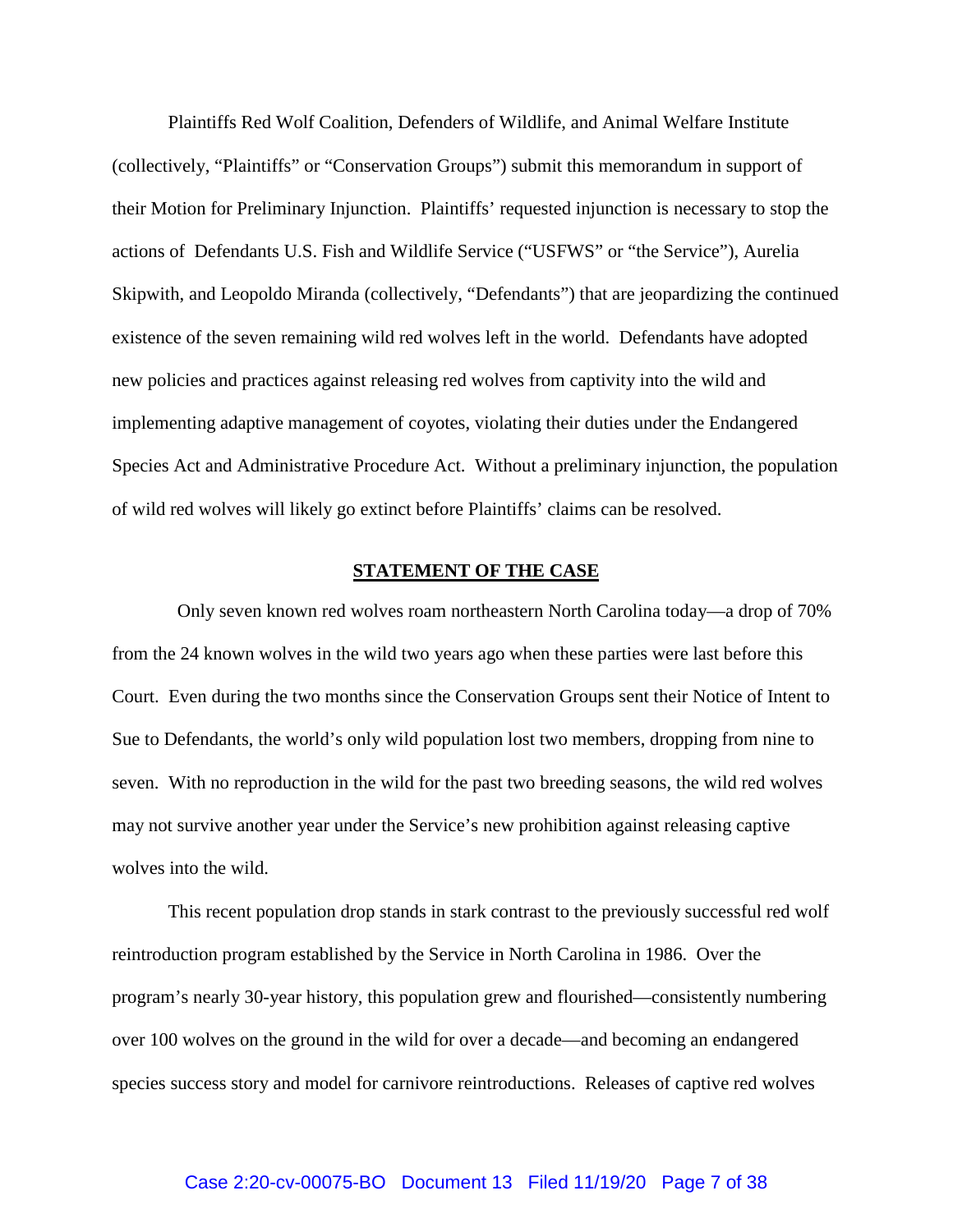Plaintiffs Red Wolf Coalition, Defenders of Wildlife, and Animal Welfare Institute (collectively, "Plaintiffs" or "Conservation Groups") submit this memorandum in support of their Motion for Preliminary Injunction. Plaintiffs' requested injunction is necessary to stop the actions of Defendants U.S. Fish and Wildlife Service ("USFWS" or "the Service"), Aurelia Skipwith, and Leopoldo Miranda (collectively, "Defendants") that are jeopardizing the continued existence of the seven remaining wild red wolves left in the world. Defendants have adopted new policies and practices against releasing red wolves from captivity into the wild and implementing adaptive management of coyotes, violating their duties under the Endangered Species Act and Administrative Procedure Act. Without a preliminary injunction, the population of wild red wolves will likely go extinct before Plaintiffs' claims can be resolved.

#### **STATEMENT OF THE CASE**

Only seven known red wolves roam northeastern North Carolina today—a drop of 70% from the 24 known wolves in the wild two years ago when these parties were last before this Court. Even during the two months since the Conservation Groups sent their Notice of Intent to Sue to Defendants, the world's only wild population lost two members, dropping from nine to seven. With no reproduction in the wild for the past two breeding seasons, the wild red wolves may not survive another year under the Service's new prohibition against releasing captive wolves into the wild.

This recent population drop stands in stark contrast to the previously successful red wolf reintroduction program established by the Service in North Carolina in 1986. Over the program's nearly 30-year history, this population grew and flourished—consistently numbering over 100 wolves on the ground in the wild for over a decade—and becoming an endangered species success story and model for carnivore reintroductions. Releases of captive red wolves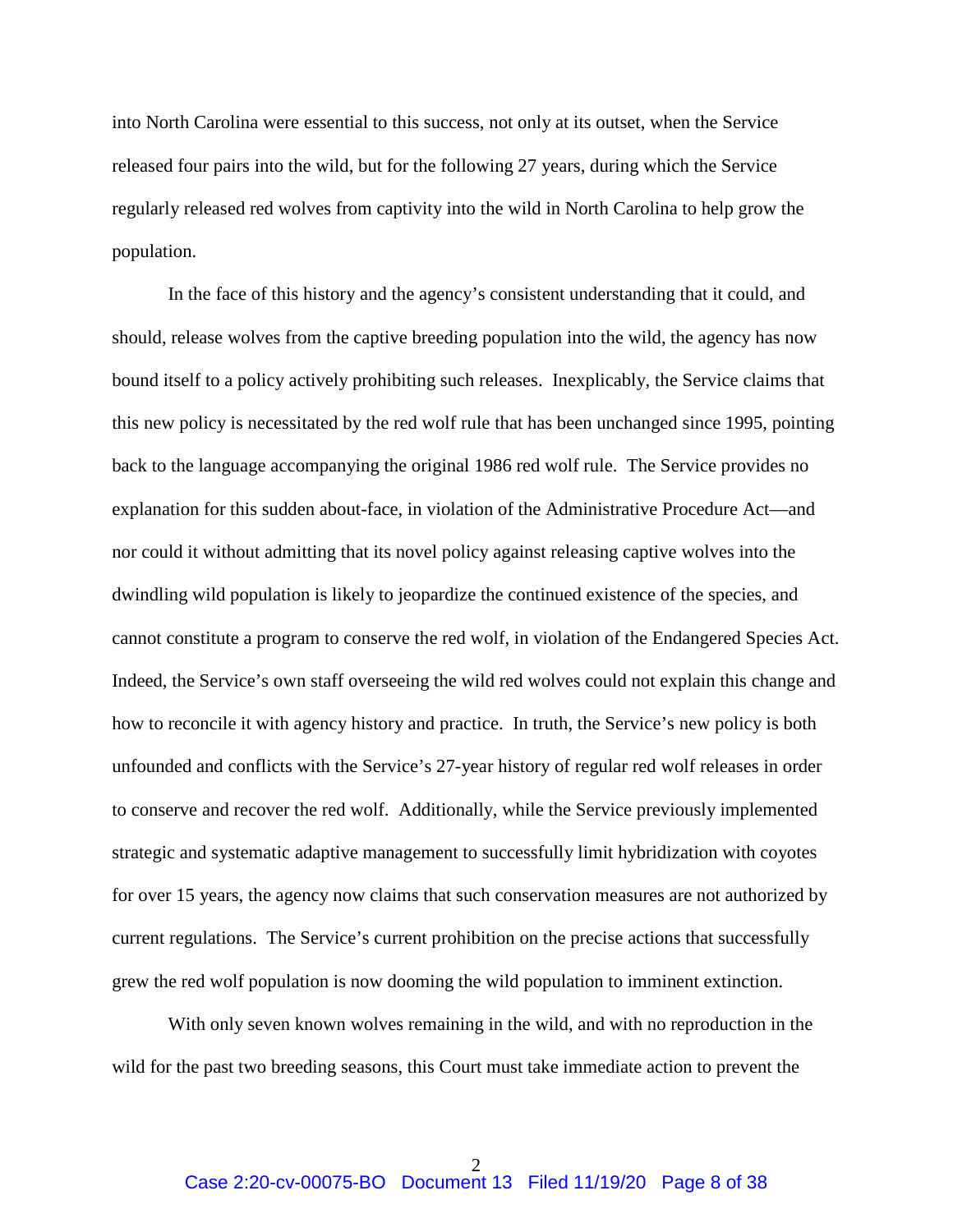into North Carolina were essential to this success, not only at its outset, when the Service released four pairs into the wild, but for the following 27 years, during which the Service regularly released red wolves from captivity into the wild in North Carolina to help grow the population.

In the face of this history and the agency's consistent understanding that it could, and should, release wolves from the captive breeding population into the wild, the agency has now bound itself to a policy actively prohibiting such releases. Inexplicably, the Service claims that this new policy is necessitated by the red wolf rule that has been unchanged since 1995, pointing back to the language accompanying the original 1986 red wolf rule. The Service provides no explanation for this sudden about-face, in violation of the Administrative Procedure Act—and nor could it without admitting that its novel policy against releasing captive wolves into the dwindling wild population is likely to jeopardize the continued existence of the species, and cannot constitute a program to conserve the red wolf, in violation of the Endangered Species Act. Indeed, the Service's own staff overseeing the wild red wolves could not explain this change and how to reconcile it with agency history and practice. In truth, the Service's new policy is both unfounded and conflicts with the Service's 27-year history of regular red wolf releases in order to conserve and recover the red wolf. Additionally, while the Service previously implemented strategic and systematic adaptive management to successfully limit hybridization with coyotes for over 15 years, the agency now claims that such conservation measures are not authorized by current regulations. The Service's current prohibition on the precise actions that successfully grew the red wolf population is now dooming the wild population to imminent extinction.

With only seven known wolves remaining in the wild, and with no reproduction in the wild for the past two breeding seasons, this Court must take immediate action to prevent the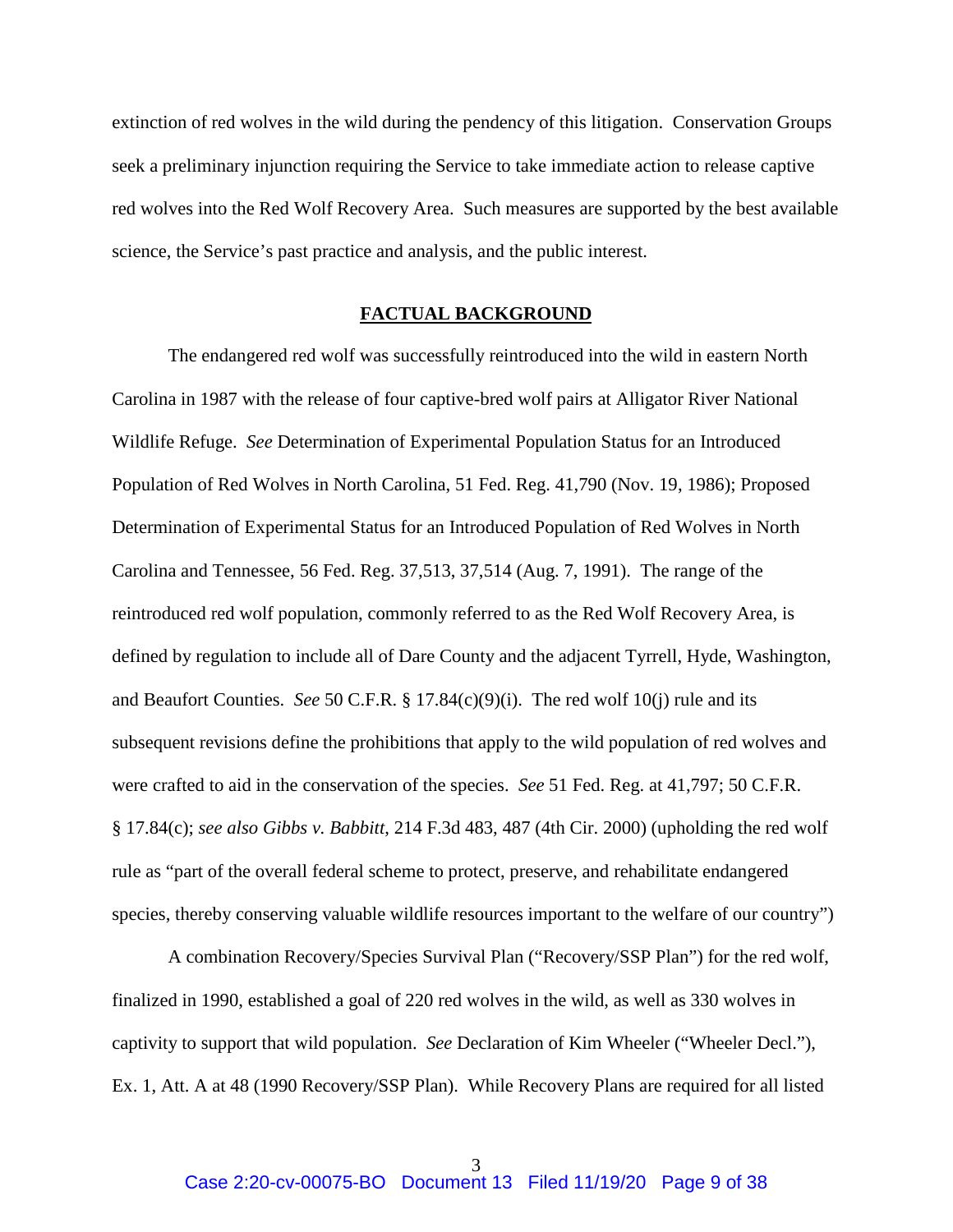extinction of red wolves in the wild during the pendency of this litigation. Conservation Groups seek a preliminary injunction requiring the Service to take immediate action to release captive red wolves into the Red Wolf Recovery Area. Such measures are supported by the best available science, the Service's past practice and analysis, and the public interest.

#### **FACTUAL BACKGROUND**

The endangered red wolf was successfully reintroduced into the wild in eastern North Carolina in 1987 with the release of four captive-bred wolf pairs at Alligator River National Wildlife Refuge. *See* Determination of Experimental Population Status for an Introduced Population of Red Wolves in North Carolina, 51 Fed. Reg. 41,790 (Nov. 19, 1986); Proposed Determination of Experimental Status for an Introduced Population of Red Wolves in North Carolina and Tennessee, 56 Fed. Reg. 37,513, 37,514 (Aug. 7, 1991). The range of the reintroduced red wolf population, commonly referred to as the Red Wolf Recovery Area, is defined by regulation to include all of Dare County and the adjacent Tyrrell, Hyde, Washington, and Beaufort Counties. *See* 50 C.F.R. § 17.84(c)(9)(i). The red wolf 10(j) rule and its subsequent revisions define the prohibitions that apply to the wild population of red wolves and were crafted to aid in the conservation of the species. *See* 51 Fed. Reg. at 41,797; 50 C.F.R. § 17.84(c); *see also Gibbs v. Babbitt*, 214 F.3d 483, 487 (4th Cir. 2000) (upholding the red wolf rule as "part of the overall federal scheme to protect, preserve, and rehabilitate endangered species, thereby conserving valuable wildlife resources important to the welfare of our country")

A combination Recovery/Species Survival Plan ("Recovery/SSP Plan") for the red wolf, finalized in 1990, established a goal of 220 red wolves in the wild, as well as 330 wolves in captivity to support that wild population. *See* Declaration of Kim Wheeler ("Wheeler Decl."), Ex. 1, Att. A at 48 (1990 Recovery/SSP Plan). While Recovery Plans are required for all listed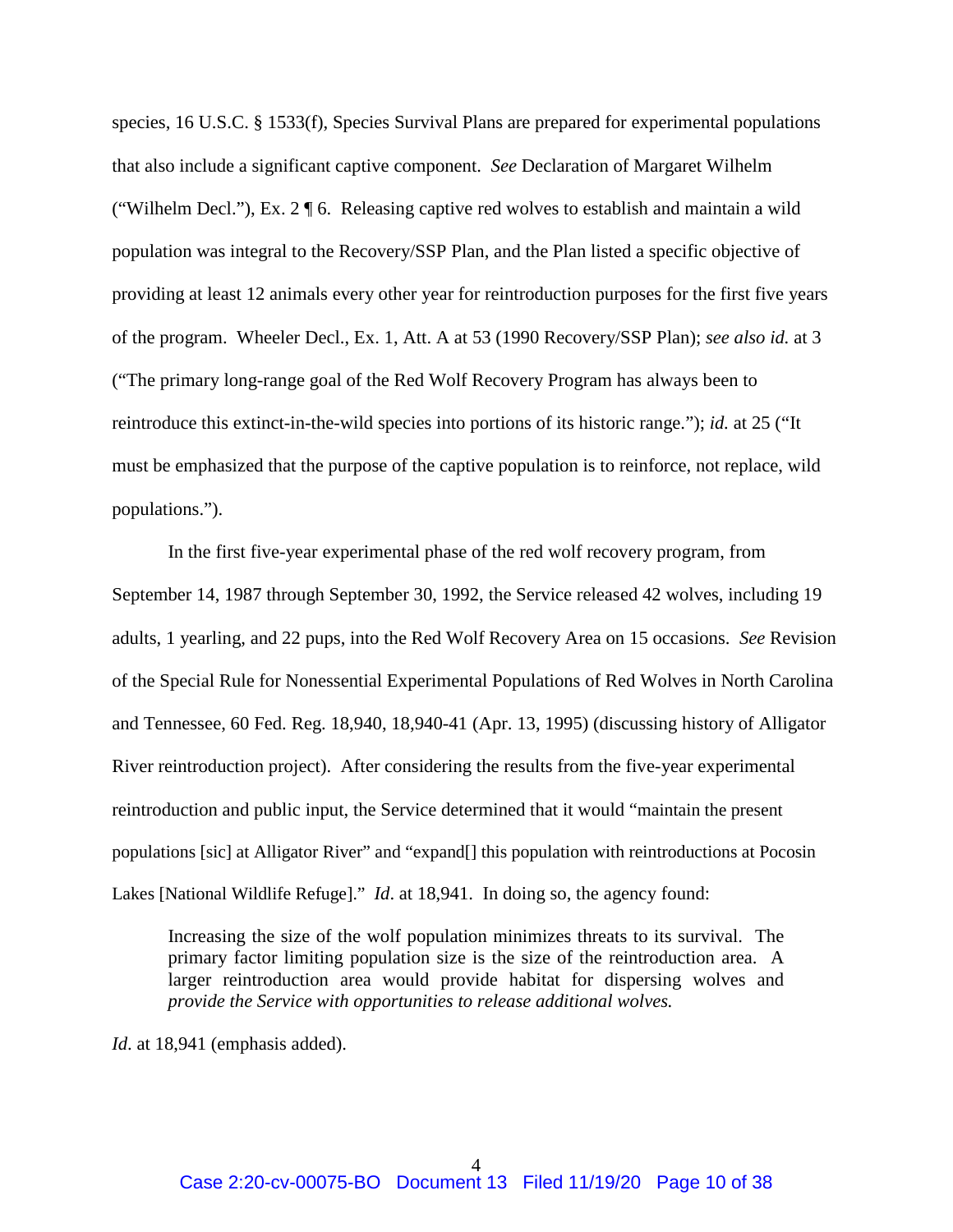species, 16 U.S.C. § 1533(f), Species Survival Plans are prepared for experimental populations that also include a significant captive component. *See* Declaration of Margaret Wilhelm ("Wilhelm Decl."), Ex. 2  $\sqrt{\ }$  6. Releasing captive red wolves to establish and maintain a wild population was integral to the Recovery/SSP Plan, and the Plan listed a specific objective of providing at least 12 animals every other year for reintroduction purposes for the first five years of the program. Wheeler Decl., Ex. 1, Att. A at 53 (1990 Recovery/SSP Plan); *see also id.* at 3 ("The primary long-range goal of the Red Wolf Recovery Program has always been to reintroduce this extinct-in-the-wild species into portions of its historic range."); *id.* at 25 ("It must be emphasized that the purpose of the captive population is to reinforce, not replace, wild populations.").

In the first five-year experimental phase of the red wolf recovery program, from September 14, 1987 through September 30, 1992, the Service released 42 wolves, including 19 adults, 1 yearling, and 22 pups, into the Red Wolf Recovery Area on 15 occasions. *See* Revision of the Special Rule for Nonessential Experimental Populations of Red Wolves in North Carolina and Tennessee, 60 Fed. Reg. 18,940, 18,940-41 (Apr. 13, 1995) (discussing history of Alligator River reintroduction project). After considering the results from the five-year experimental reintroduction and public input, the Service determined that it would "maintain the present populations [sic] at Alligator River" and "expand[] this population with reintroductions at Pocosin Lakes [National Wildlife Refuge]." *Id*. at 18,941. In doing so, the agency found:

Increasing the size of the wolf population minimizes threats to its survival. The primary factor limiting population size is the size of the reintroduction area. A larger reintroduction area would provide habitat for dispersing wolves and *provide the Service with opportunities to release additional wolves.*

*Id*. at 18,941 (emphasis added).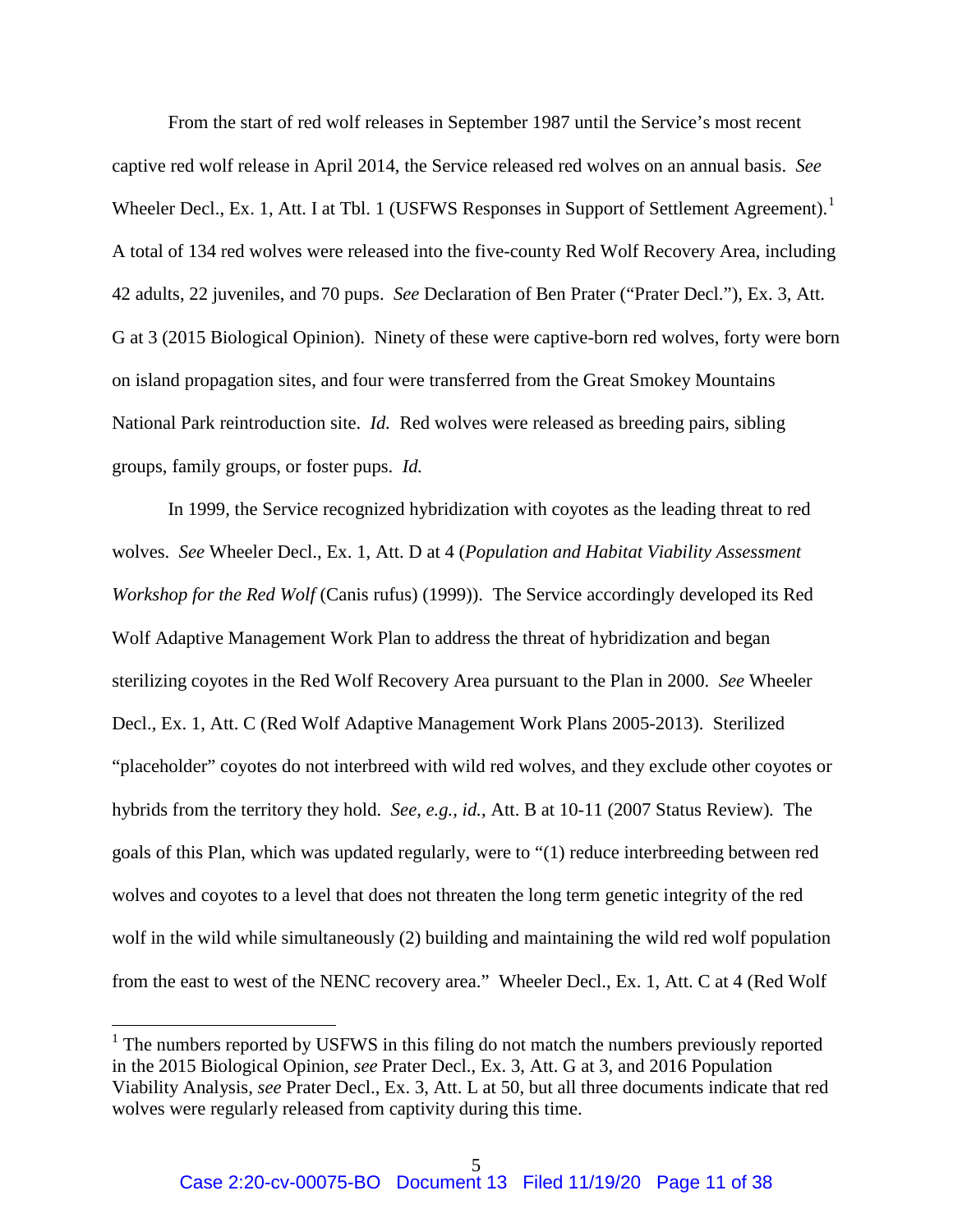From the start of red wolf releases in September 1987 until the Service's most recent captive red wolf release in April 2014, the Service released red wolves on an annual basis. *See*  Wheeler Decl., Ex. 1, Att. I at Tbl. 1 (USFWS Responses in Support of Settlement Agreement).<sup>1</sup> A total of 134 red wolves were released into the five-county Red Wolf Recovery Area, including 42 adults, 22 juveniles, and 70 pups. *See* Declaration of Ben Prater ("Prater Decl."), Ex. 3, Att. G at 3 (2015 Biological Opinion). Ninety of these were captive-born red wolves, forty were born on island propagation sites, and four were transferred from the Great Smokey Mountains National Park reintroduction site. *Id.* Red wolves were released as breeding pairs, sibling groups, family groups, or foster pups. *Id.* 

In 1999, the Service recognized hybridization with coyotes as the leading threat to red wolves. *See* Wheeler Decl., Ex. 1, Att. D at 4 (*Population and Habitat Viability Assessment Workshop for the Red Wolf* (Canis rufus) (1999)). The Service accordingly developed its Red Wolf Adaptive Management Work Plan to address the threat of hybridization and began sterilizing coyotes in the Red Wolf Recovery Area pursuant to the Plan in 2000. *See* Wheeler Decl., Ex. 1, Att. C (Red Wolf Adaptive Management Work Plans 2005-2013). Sterilized "placeholder" coyotes do not interbreed with wild red wolves, and they exclude other coyotes or hybrids from the territory they hold. *See, e.g., id.*, Att. B at 10-11 (2007 Status Review)*.* The goals of this Plan, which was updated regularly, were to "(1) reduce interbreeding between red wolves and coyotes to a level that does not threaten the long term genetic integrity of the red wolf in the wild while simultaneously (2) building and maintaining the wild red wolf population from the east to west of the NENC recovery area." Wheeler Decl., Ex. 1, Att. C at 4 (Red Wolf

 $\overline{a}$ 

<sup>&</sup>lt;sup>1</sup> The numbers reported by USFWS in this filing do not match the numbers previously reported in the 2015 Biological Opinion, *see* Prater Decl., Ex. 3, Att. G at 3, and 2016 Population Viability Analysis, *see* Prater Decl., Ex. 3, Att. L at 50, but all three documents indicate that red wolves were regularly released from captivity during this time.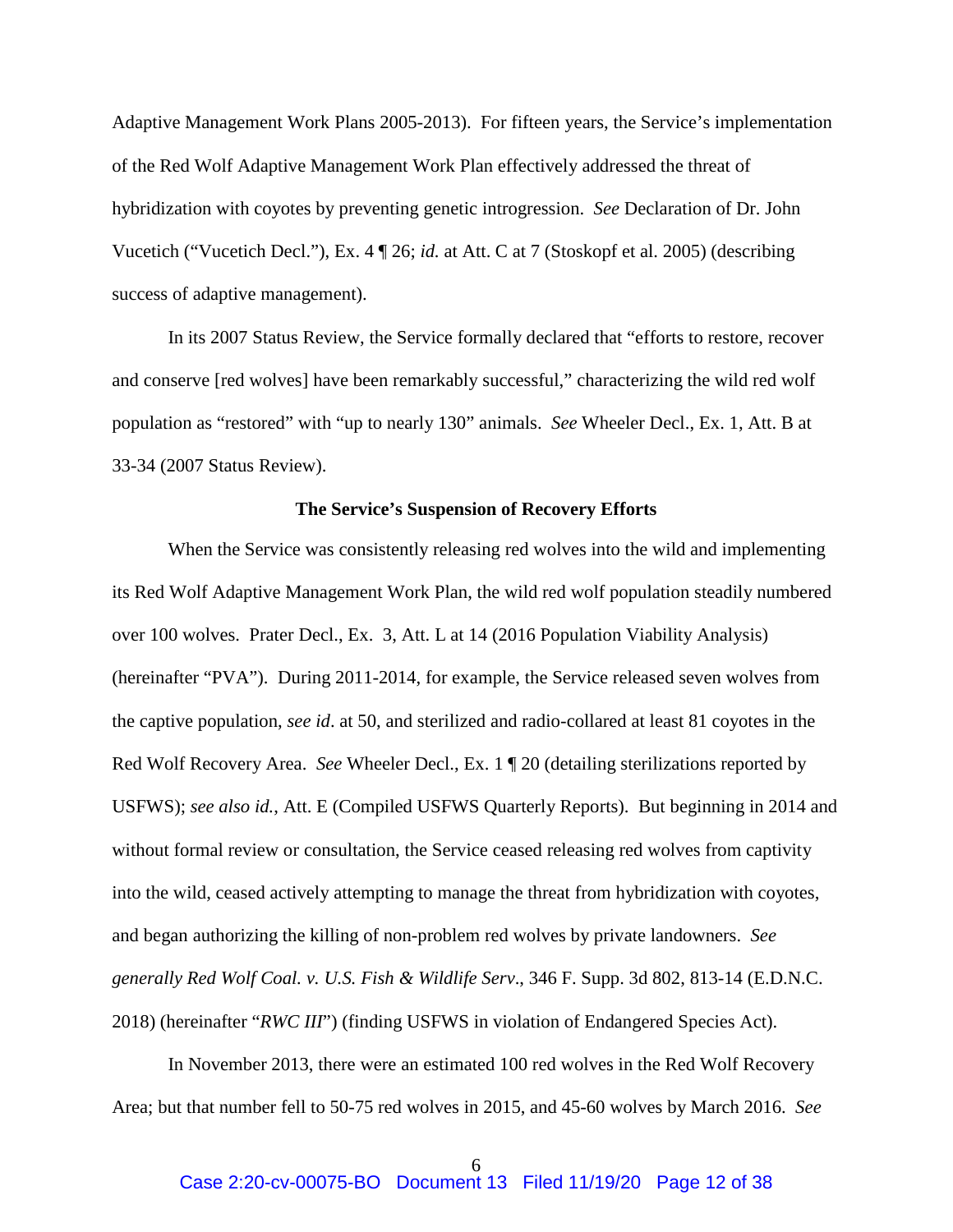Adaptive Management Work Plans 2005-2013). For fifteen years, the Service's implementation of the Red Wolf Adaptive Management Work Plan effectively addressed the threat of hybridization with coyotes by preventing genetic introgression. *See* Declaration of Dr. John Vucetich ("Vucetich Decl."), Ex. 4 ¶ 26; *id.* at Att. C at 7 (Stoskopf et al. 2005) (describing success of adaptive management).

 In its 2007 Status Review, the Service formally declared that "efforts to restore, recover and conserve [red wolves] have been remarkably successful," characterizing the wild red wolf population as "restored" with "up to nearly 130" animals. *See* Wheeler Decl., Ex. 1, Att. B at 33-34 (2007 Status Review).

#### **The Service's Suspension of Recovery Efforts**

 When the Service was consistently releasing red wolves into the wild and implementing its Red Wolf Adaptive Management Work Plan, the wild red wolf population steadily numbered over 100 wolves. Prater Decl., Ex. 3, Att. L at 14 (2016 Population Viability Analysis) (hereinafter "PVA"). During 2011-2014, for example, the Service released seven wolves from the captive population, *see id*. at 50, and sterilized and radio-collared at least 81 coyotes in the Red Wolf Recovery Area. *See* Wheeler Decl., Ex. 1 ¶ 20 (detailing sterilizations reported by USFWS); *see also id.*, Att. E (Compiled USFWS Quarterly Reports). But beginning in 2014 and without formal review or consultation, the Service ceased releasing red wolves from captivity into the wild, ceased actively attempting to manage the threat from hybridization with coyotes, and began authorizing the killing of non-problem red wolves by private landowners. *See generally Red Wolf Coal. v. U.S. Fish & Wildlife Serv*., 346 F. Supp. 3d 802, 813-14 (E.D.N.C. 2018) (hereinafter "*RWC III*") (finding USFWS in violation of Endangered Species Act).

 In November 2013, there were an estimated 100 red wolves in the Red Wolf Recovery Area; but that number fell to 50-75 red wolves in 2015, and 45-60 wolves by March 2016. *See*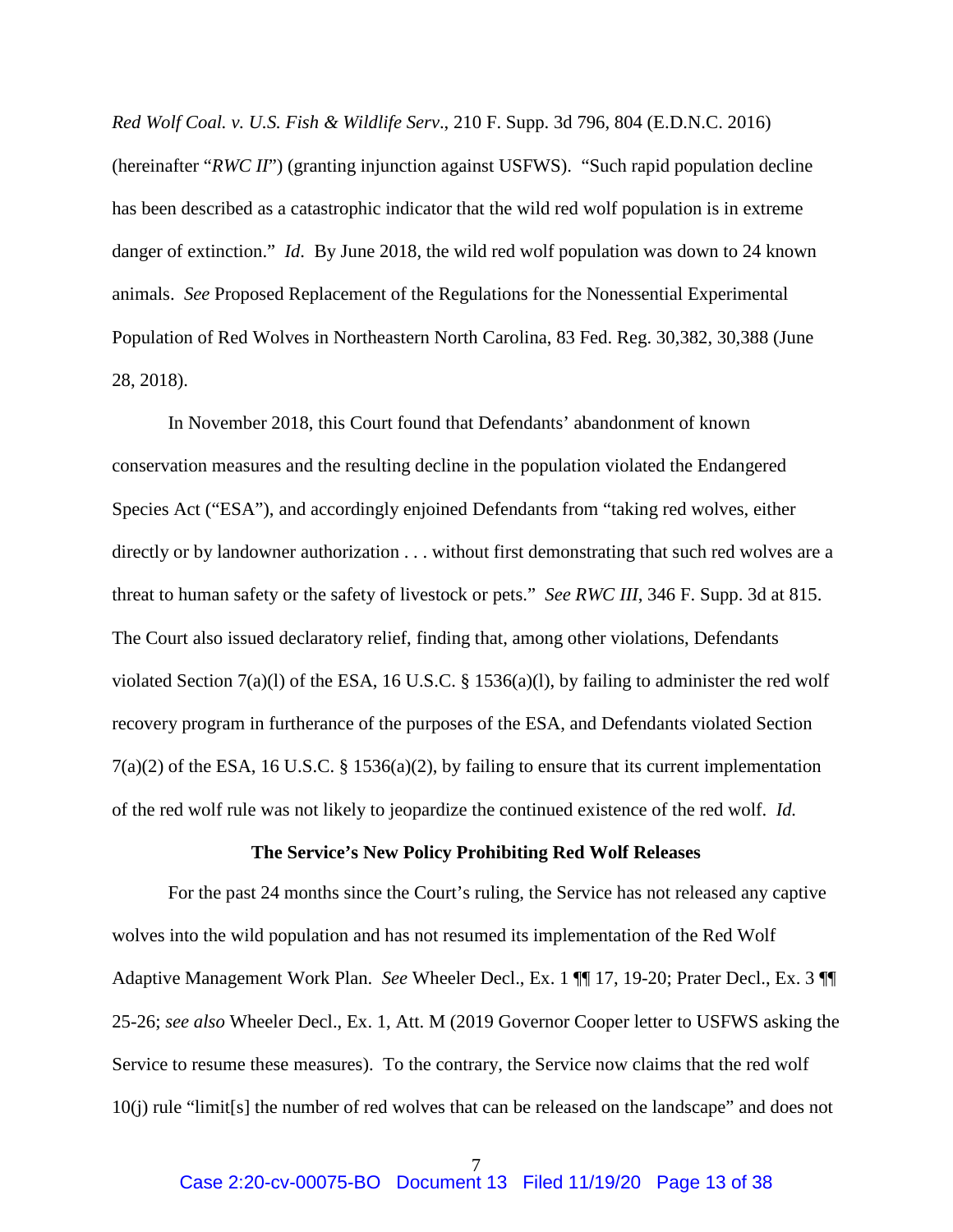*Red Wolf Coal. v. U.S. Fish & Wildlife Serv*., 210 F. Supp. 3d 796, 804 (E.D.N.C. 2016) (hereinafter "*RWC II*") (granting injunction against USFWS). "Such rapid population decline has been described as a catastrophic indicator that the wild red wolf population is in extreme danger of extinction." *Id*. By June 2018, the wild red wolf population was down to 24 known animals. *See* Proposed Replacement of the Regulations for the Nonessential Experimental Population of Red Wolves in Northeastern North Carolina, 83 Fed. Reg. 30,382, 30,388 (June 28, 2018).

In November 2018, this Court found that Defendants' abandonment of known conservation measures and the resulting decline in the population violated the Endangered Species Act ("ESA"), and accordingly enjoined Defendants from "taking red wolves, either directly or by landowner authorization . . . without first demonstrating that such red wolves are a threat to human safety or the safety of livestock or pets." *See RWC III*, 346 F. Supp. 3d at 815. The Court also issued declaratory relief, finding that, among other violations, Defendants violated Section 7(a)(l) of the ESA, 16 U.S.C. § 1536(a)(l), by failing to administer the red wolf recovery program in furtherance of the purposes of the ESA, and Defendants violated Section 7(a)(2) of the ESA, 16 U.S.C. § 1536(a)(2), by failing to ensure that its current implementation of the red wolf rule was not likely to jeopardize the continued existence of the red wolf. *Id.*

#### **The Service's New Policy Prohibiting Red Wolf Releases**

For the past 24 months since the Court's ruling, the Service has not released any captive wolves into the wild population and has not resumed its implementation of the Red Wolf Adaptive Management Work Plan. *See* Wheeler Decl., Ex. 1 ¶¶ 17, 19-20; Prater Decl., Ex. 3 ¶¶ 25-26; *see also* Wheeler Decl., Ex. 1, Att. M (2019 Governor Cooper letter to USFWS asking the Service to resume these measures). To the contrary, the Service now claims that the red wolf 10(j) rule "limit[s] the number of red wolves that can be released on the landscape" and does not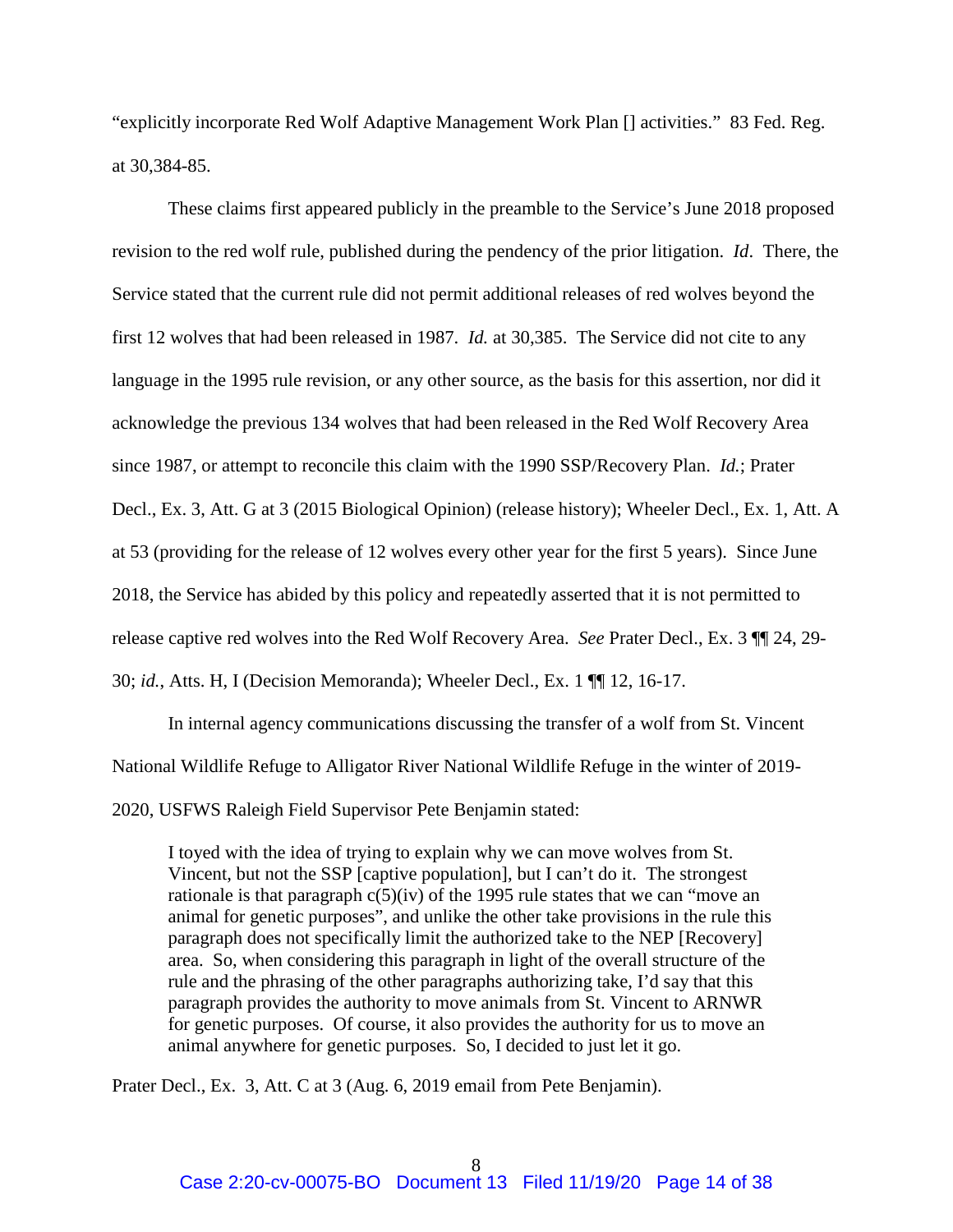"explicitly incorporate Red Wolf Adaptive Management Work Plan [] activities." 83 Fed. Reg. at 30,384-85.

These claims first appeared publicly in the preamble to the Service's June 2018 proposed revision to the red wolf rule, published during the pendency of the prior litigation. *Id*. There, the Service stated that the current rule did not permit additional releases of red wolves beyond the first 12 wolves that had been released in 1987. *Id.* at 30,385. The Service did not cite to any language in the 1995 rule revision, or any other source, as the basis for this assertion, nor did it acknowledge the previous 134 wolves that had been released in the Red Wolf Recovery Area since 1987, or attempt to reconcile this claim with the 1990 SSP/Recovery Plan. *Id.*; Prater Decl., Ex. 3, Att. G at 3 (2015 Biological Opinion) (release history); Wheeler Decl., Ex. 1, Att. A at 53 (providing for the release of 12 wolves every other year for the first 5 years). Since June 2018, the Service has abided by this policy and repeatedly asserted that it is not permitted to release captive red wolves into the Red Wolf Recovery Area. *See* Prater Decl., Ex. 3 ¶¶ 24, 29- 30; *id.*, Atts. H, I (Decision Memoranda); Wheeler Decl., Ex. 1 ¶¶ 12, 16-17.

 In internal agency communications discussing the transfer of a wolf from St. Vincent National Wildlife Refuge to Alligator River National Wildlife Refuge in the winter of 2019- 2020, USFWS Raleigh Field Supervisor Pete Benjamin stated:

I toyed with the idea of trying to explain why we can move wolves from St. Vincent, but not the SSP [captive population], but I can't do it. The strongest rationale is that paragraph  $c(5)(iv)$  of the 1995 rule states that we can "move an animal for genetic purposes", and unlike the other take provisions in the rule this paragraph does not specifically limit the authorized take to the NEP [Recovery] area. So, when considering this paragraph in light of the overall structure of the rule and the phrasing of the other paragraphs authorizing take, I'd say that this paragraph provides the authority to move animals from St. Vincent to ARNWR for genetic purposes. Of course, it also provides the authority for us to move an animal anywhere for genetic purposes. So, I decided to just let it go.

Prater Decl., Ex. 3, Att. C at 3 (Aug. 6, 2019 email from Pete Benjamin).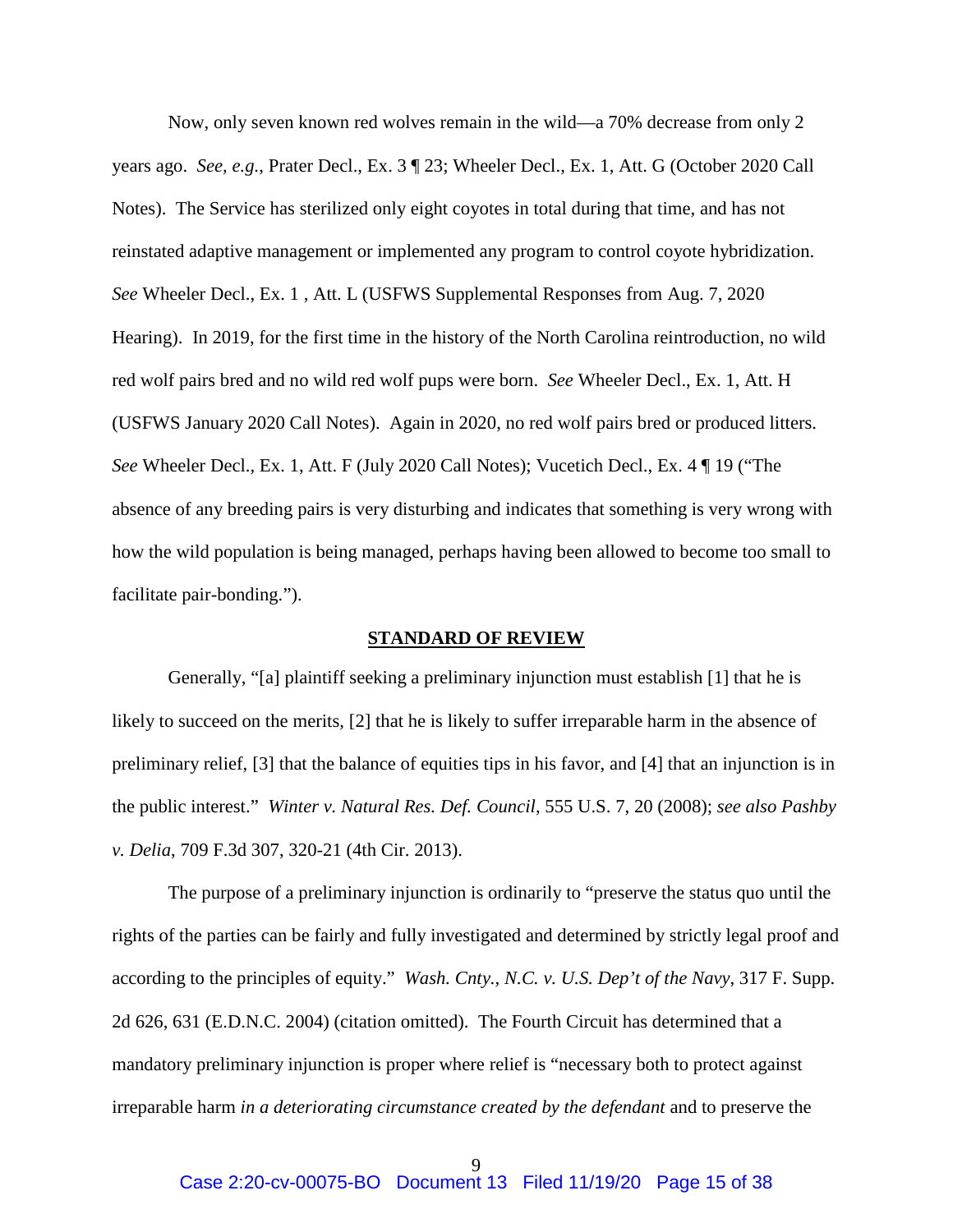Now, only seven known red wolves remain in the wild—a 70% decrease from only 2 years ago. *See, e.g.*, Prater Decl., Ex. 3 ¶ 23; Wheeler Decl., Ex. 1, Att. G (October 2020 Call Notes). The Service has sterilized only eight coyotes in total during that time, and has not reinstated adaptive management or implemented any program to control coyote hybridization. *See* Wheeler Decl., Ex. 1 , Att. L (USFWS Supplemental Responses from Aug. 7, 2020 Hearing). In 2019, for the first time in the history of the North Carolina reintroduction, no wild red wolf pairs bred and no wild red wolf pups were born. *See* Wheeler Decl., Ex. 1, Att. H (USFWS January 2020 Call Notes). Again in 2020, no red wolf pairs bred or produced litters. *See* Wheeler Decl., Ex. 1, Att. F (July 2020 Call Notes); Vucetich Decl., Ex. 4 ¶ 19 ("The absence of any breeding pairs is very disturbing and indicates that something is very wrong with how the wild population is being managed, perhaps having been allowed to become too small to facilitate pair-bonding.").

#### **STANDARD OF REVIEW**

Generally, "[a] plaintiff seeking a preliminary injunction must establish [1] that he is likely to succeed on the merits, [2] that he is likely to suffer irreparable harm in the absence of preliminary relief, [3] that the balance of equities tips in his favor, and [4] that an injunction is in the public interest." *Winter v. Natural Res. Def. Council*, 555 U.S. 7, 20 (2008); *see also Pashby v. Delia*, 709 F.3d 307, 320-21 (4th Cir. 2013).

 The purpose of a preliminary injunction is ordinarily to "preserve the status quo until the rights of the parties can be fairly and fully investigated and determined by strictly legal proof and according to the principles of equity." *Wash. Cnty., N.C. v. U.S. Dep't of the Navy*, 317 F. Supp. 2d 626, 631 (E.D.N.C. 2004) (citation omitted). The Fourth Circuit has determined that a mandatory preliminary injunction is proper where relief is "necessary both to protect against irreparable harm *in a deteriorating circumstance created by the defendant* and to preserve the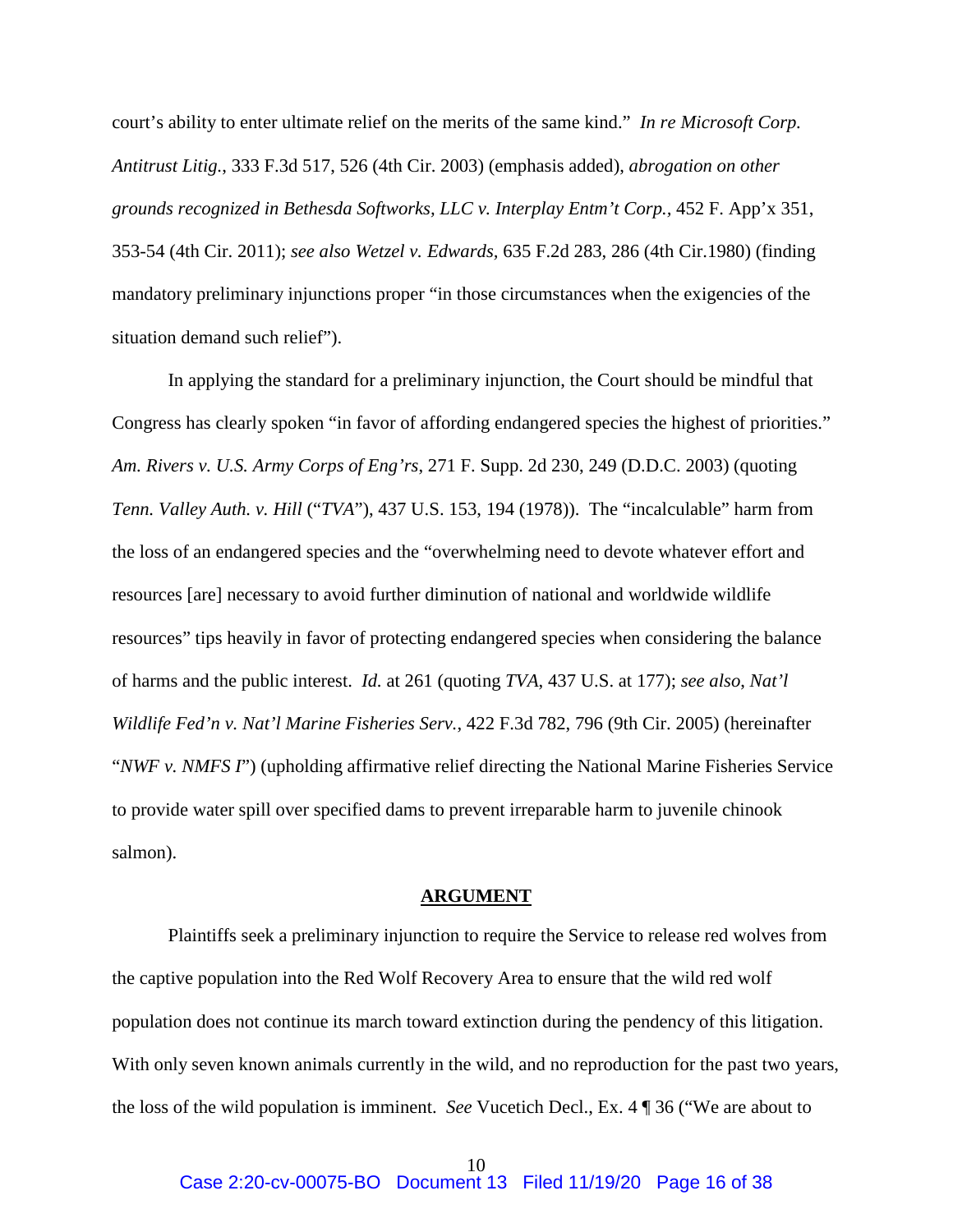court's ability to enter ultimate relief on the merits of the same kind." *In re Microsoft Corp. Antitrust Litig.*, 333 F.3d 517, 526 (4th Cir. 2003) (emphasis added), *abrogation on other grounds recognized in Bethesda Softworks, LLC v. Interplay Entm't Corp.,* 452 F. App'x 351, 353-54 (4th Cir. 2011); *see also Wetzel v. Edwards,* 635 F.2d 283, 286 (4th Cir.1980) (finding mandatory preliminary injunctions proper "in those circumstances when the exigencies of the situation demand such relief").

 In applying the standard for a preliminary injunction, the Court should be mindful that Congress has clearly spoken "in favor of affording endangered species the highest of priorities." *Am. Rivers v. U.S. Army Corps of Eng'rs*, 271 F. Supp. 2d 230, 249 (D.D.C. 2003) (quoting *Tenn. Valley Auth. v. Hill* ("*TVA*"), 437 U.S. 153, 194 (1978)). The "incalculable" harm from the loss of an endangered species and the "overwhelming need to devote whatever effort and resources [are] necessary to avoid further diminution of national and worldwide wildlife resources" tips heavily in favor of protecting endangered species when considering the balance of harms and the public interest. *Id.* at 261 (quoting *TVA*, 437 U.S. at 177); *see also*, *Nat'l Wildlife Fed'n v. Nat'l Marine Fisheries Serv.*, 422 F.3d 782, 796 (9th Cir. 2005) (hereinafter "*NWF v. NMFS I*") (upholding affirmative relief directing the National Marine Fisheries Service to provide water spill over specified dams to prevent irreparable harm to juvenile chinook salmon).

#### **ARGUMENT**

Plaintiffs seek a preliminary injunction to require the Service to release red wolves from the captive population into the Red Wolf Recovery Area to ensure that the wild red wolf population does not continue its march toward extinction during the pendency of this litigation. With only seven known animals currently in the wild, and no reproduction for the past two years, the loss of the wild population is imminent. *See* Vucetich Decl., Ex. 4 ¶ 36 ("We are about to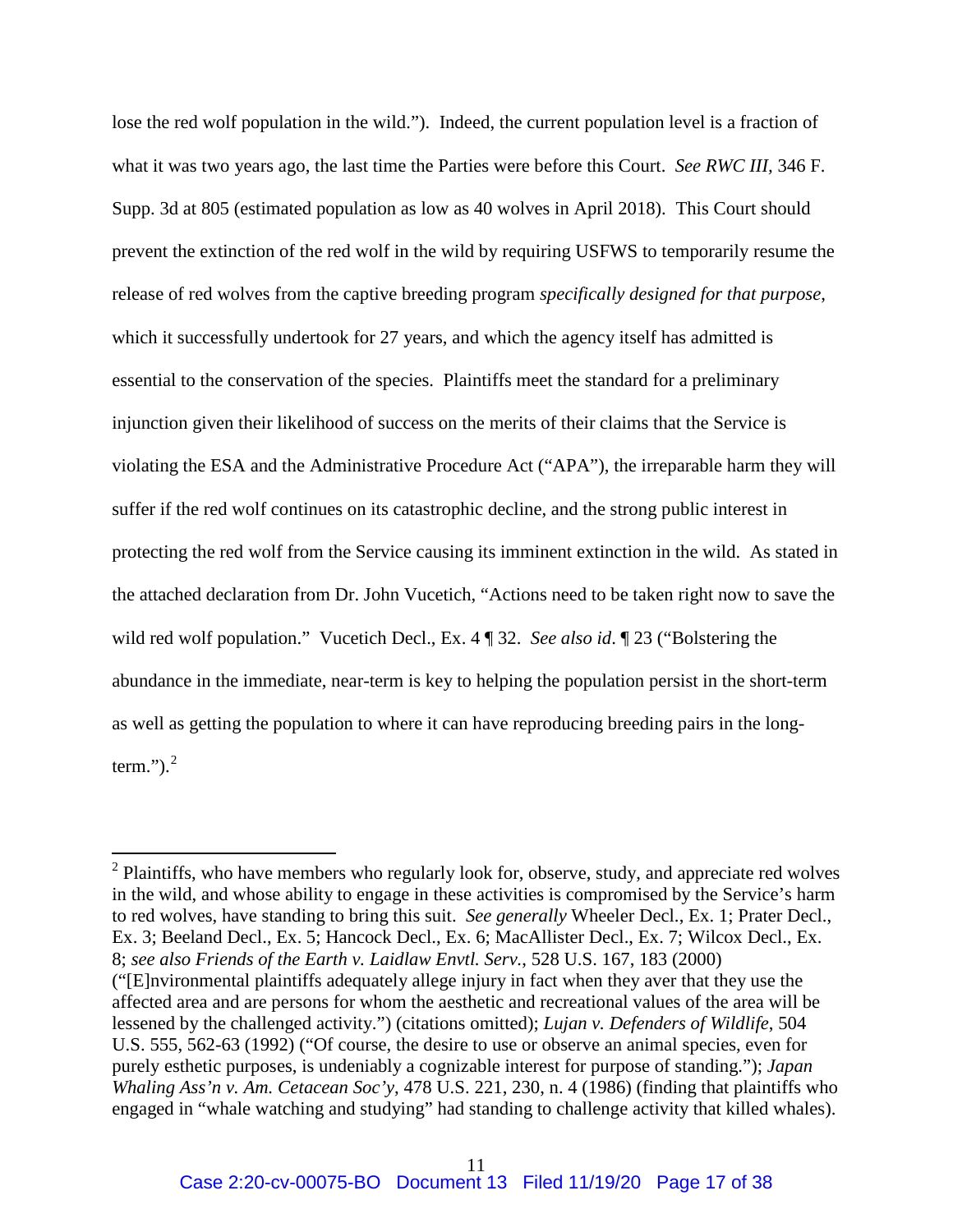lose the red wolf population in the wild."). Indeed, the current population level is a fraction of what it was two years ago, the last time the Parties were before this Court. *See RWC III,* 346 F. Supp. 3d at 805 (estimated population as low as 40 wolves in April 2018). This Court should prevent the extinction of the red wolf in the wild by requiring USFWS to temporarily resume the release of red wolves from the captive breeding program *specifically designed for that purpose*, which it successfully undertook for 27 years, and which the agency itself has admitted is essential to the conservation of the species. Plaintiffs meet the standard for a preliminary injunction given their likelihood of success on the merits of their claims that the Service is violating the ESA and the Administrative Procedure Act ("APA"), the irreparable harm they will suffer if the red wolf continues on its catastrophic decline, and the strong public interest in protecting the red wolf from the Service causing its imminent extinction in the wild. As stated in the attached declaration from Dr. John Vucetich, "Actions need to be taken right now to save the wild red wolf population." Vucetich Decl., Ex. 4 ¶ 32. *See also id*. ¶ 23 ("Bolstering the abundance in the immediate, near-term is key to helping the population persist in the short-term as well as getting the population to where it can have reproducing breeding pairs in the longterm." $)$ .<sup>2</sup>

 $\overline{a}$ 

 $2$  Plaintiffs, who have members who regularly look for, observe, study, and appreciate red wolves in the wild, and whose ability to engage in these activities is compromised by the Service's harm to red wolves, have standing to bring this suit. *See generally* Wheeler Decl., Ex. 1; Prater Decl., Ex. 3; Beeland Decl., Ex. 5; Hancock Decl., Ex. 6; MacAllister Decl., Ex. 7; Wilcox Decl., Ex. 8; *see also Friends of the Earth v. Laidlaw Envtl. Serv.*, 528 U.S. 167, 183 (2000) ("[E]nvironmental plaintiffs adequately allege injury in fact when they aver that they use the affected area and are persons for whom the aesthetic and recreational values of the area will be lessened by the challenged activity.") (citations omitted); *Lujan v. Defenders of Wildlife*, 504 U.S. 555, 562-63 (1992) ("Of course, the desire to use or observe an animal species, even for purely esthetic purposes, is undeniably a cognizable interest for purpose of standing."); *Japan Whaling Ass'n v. Am. Cetacean Soc'y*, 478 U.S. 221, 230, n. 4 (1986) (finding that plaintiffs who engaged in "whale watching and studying" had standing to challenge activity that killed whales).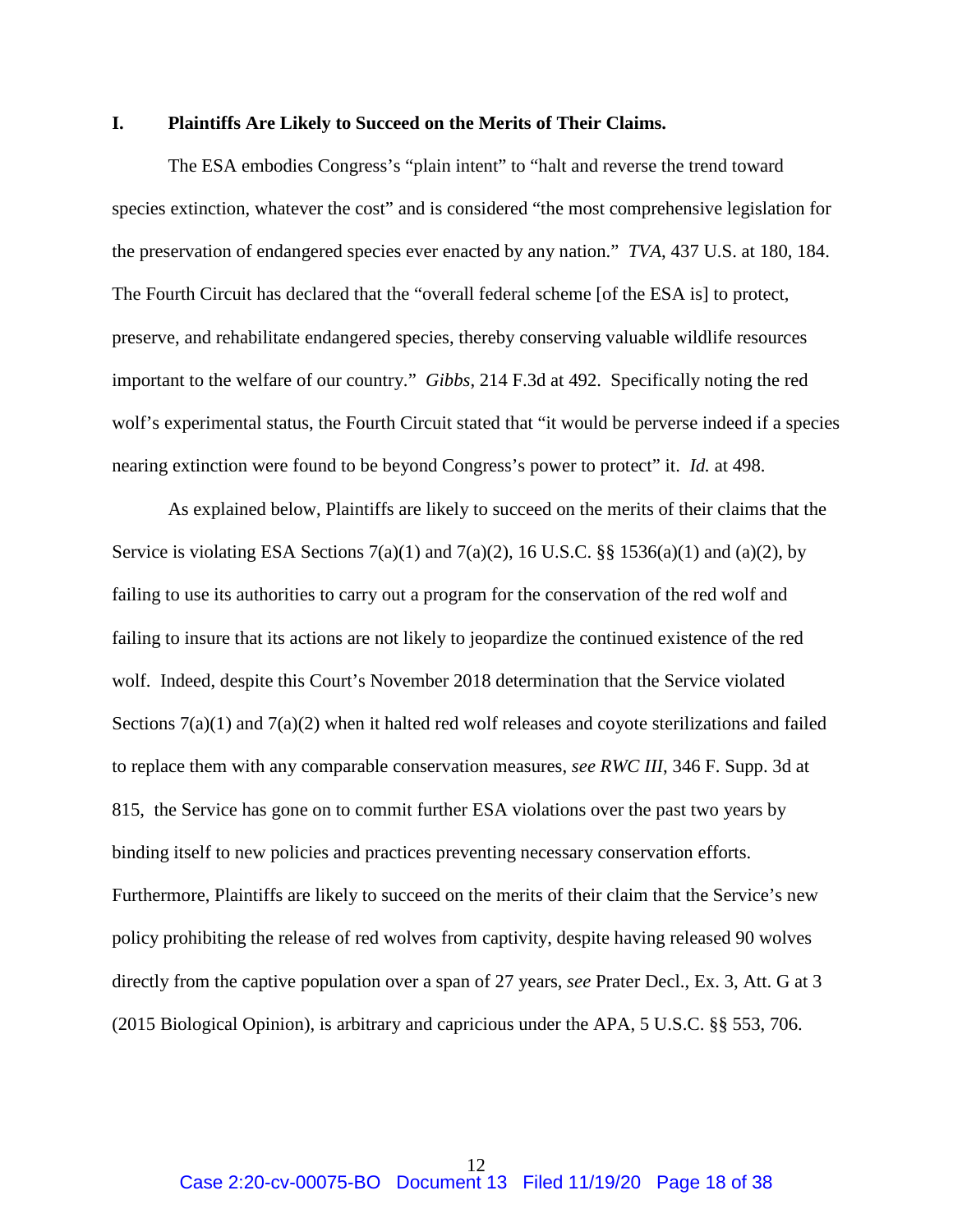#### **I. Plaintiffs Are Likely to Succeed on the Merits of Their Claims.**

The ESA embodies Congress's "plain intent" to "halt and reverse the trend toward species extinction, whatever the cost" and is considered "the most comprehensive legislation for the preservation of endangered species ever enacted by any nation." *TVA*, 437 U.S. at 180, 184. The Fourth Circuit has declared that the "overall federal scheme [of the ESA is] to protect, preserve, and rehabilitate endangered species, thereby conserving valuable wildlife resources important to the welfare of our country." *Gibbs*, 214 F.3d at 492. Specifically noting the red wolf's experimental status, the Fourth Circuit stated that "it would be perverse indeed if a species nearing extinction were found to be beyond Congress's power to protect" it. *Id.* at 498.

As explained below, Plaintiffs are likely to succeed on the merits of their claims that the Service is violating ESA Sections  $7(a)(1)$  and  $7(a)(2)$ , 16 U.S.C. §§ 1536(a)(1) and (a)(2), by failing to use its authorities to carry out a program for the conservation of the red wolf and failing to insure that its actions are not likely to jeopardize the continued existence of the red wolf. Indeed, despite this Court's November 2018 determination that the Service violated Sections  $7(a)(1)$  and  $7(a)(2)$  when it halted red wolf releases and coyote sterilizations and failed to replace them with any comparable conservation measures, *see RWC III*, 346 F. Supp. 3d at 815, the Service has gone on to commit further ESA violations over the past two years by binding itself to new policies and practices preventing necessary conservation efforts. Furthermore, Plaintiffs are likely to succeed on the merits of their claim that the Service's new policy prohibiting the release of red wolves from captivity, despite having released 90 wolves directly from the captive population over a span of 27 years, *see* Prater Decl., Ex. 3, Att. G at 3 (2015 Biological Opinion), is arbitrary and capricious under the APA, 5 U.S.C. §§ 553, 706.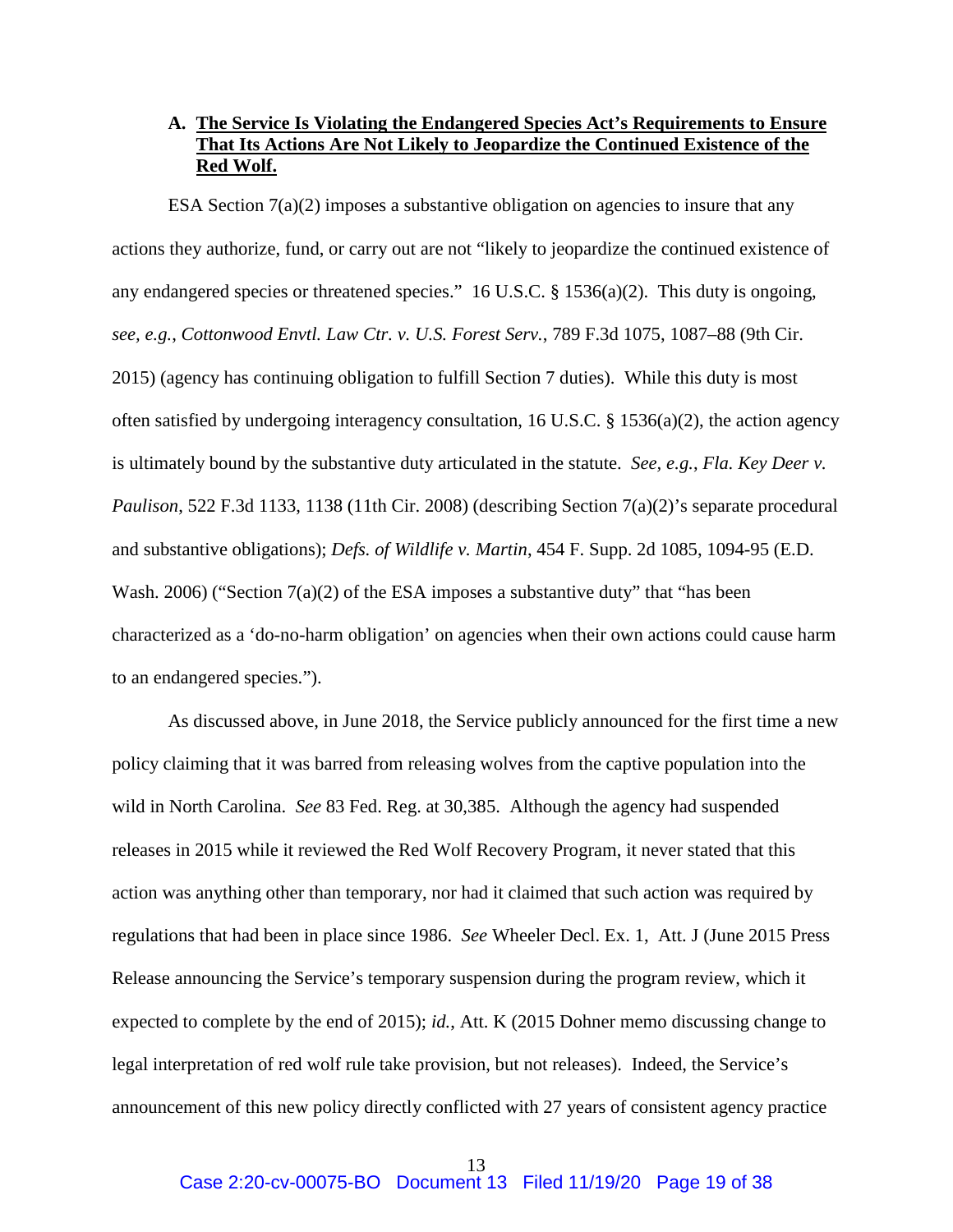# **A. The Service Is Violating the Endangered Species Act's Requirements to Ensure That Its Actions Are Not Likely to Jeopardize the Continued Existence of the Red Wolf.**

ESA Section  $7(a)(2)$  imposes a substantive obligation on agencies to insure that any actions they authorize, fund, or carry out are not "likely to jeopardize the continued existence of any endangered species or threatened species." 16 U.S.C. § 1536(a)(2). This duty is ongoing, *see, e.g.*, *Cottonwood Envtl. Law Ctr. v. U.S. Forest Serv.*, 789 F.3d 1075, 1087–88 (9th Cir. 2015) (agency has continuing obligation to fulfill Section 7 duties). While this duty is most often satisfied by undergoing interagency consultation, 16 U.S.C. § 1536(a)(2), the action agency is ultimately bound by the substantive duty articulated in the statute. *See, e.g.*, *Fla. Key Deer v. Paulison*, 522 F.3d 1133, 1138 (11th Cir. 2008) (describing Section 7(a)(2)'s separate procedural and substantive obligations); *Defs. of Wildlife v. Martin*, 454 F. Supp. 2d 1085, 1094-95 (E.D. Wash. 2006) ("Section 7(a)(2) of the ESA imposes a substantive duty" that "has been characterized as a 'do-no-harm obligation' on agencies when their own actions could cause harm to an endangered species.").

As discussed above, in June 2018, the Service publicly announced for the first time a new policy claiming that it was barred from releasing wolves from the captive population into the wild in North Carolina. *See* 83 Fed. Reg. at 30,385. Although the agency had suspended releases in 2015 while it reviewed the Red Wolf Recovery Program, it never stated that this action was anything other than temporary, nor had it claimed that such action was required by regulations that had been in place since 1986. *See* Wheeler Decl. Ex. 1, Att. J (June 2015 Press Release announcing the Service's temporary suspension during the program review, which it expected to complete by the end of 2015); *id.*, Att. K (2015 Dohner memo discussing change to legal interpretation of red wolf rule take provision, but not releases). Indeed, the Service's announcement of this new policy directly conflicted with 27 years of consistent agency practice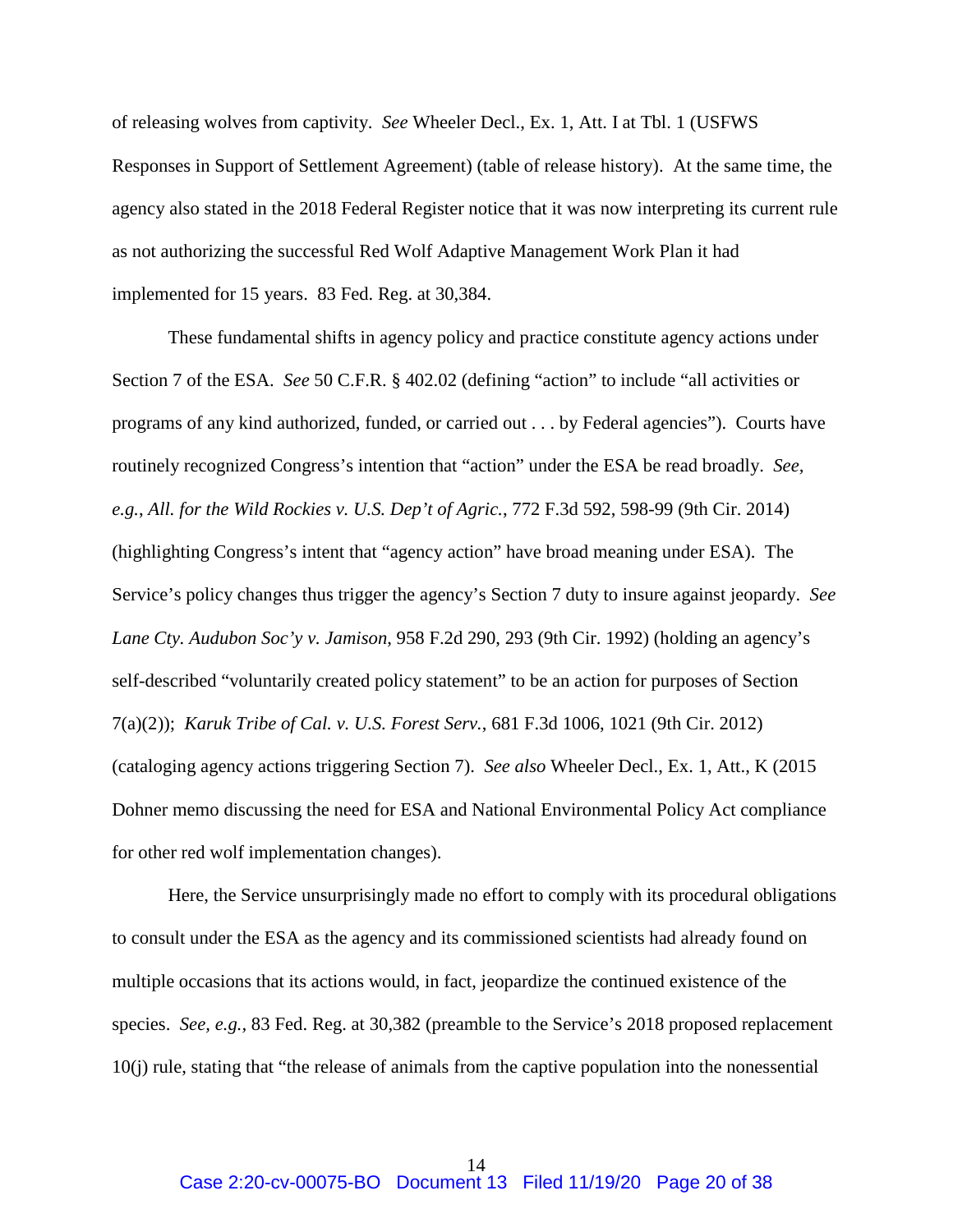of releasing wolves from captivity. *See* Wheeler Decl., Ex. 1, Att. I at Tbl. 1 (USFWS Responses in Support of Settlement Agreement) (table of release history). At the same time, the agency also stated in the 2018 Federal Register notice that it was now interpreting its current rule as not authorizing the successful Red Wolf Adaptive Management Work Plan it had implemented for 15 years. 83 Fed. Reg. at 30,384.

These fundamental shifts in agency policy and practice constitute agency actions under Section 7 of the ESA. *See* 50 C.F.R. § 402.02 (defining "action" to include "all activities or programs of any kind authorized, funded, or carried out . . . by Federal agencies"). Courts have routinely recognized Congress's intention that "action" under the ESA be read broadly. *See, e.g.*, *All. for the Wild Rockies v. U.S. Dep't of Agric.*, 772 F.3d 592, 598-99 (9th Cir. 2014) (highlighting Congress's intent that "agency action" have broad meaning under ESA). The Service's policy changes thus trigger the agency's Section 7 duty to insure against jeopardy. *See Lane Cty. Audubon Soc'y v. Jamison*, 958 F.2d 290, 293 (9th Cir. 1992) (holding an agency's self-described "voluntarily created policy statement" to be an action for purposes of Section 7(a)(2)); *Karuk Tribe of Cal. v. U.S. Forest Serv.*, 681 F.3d 1006, 1021 (9th Cir. 2012) (cataloging agency actions triggering Section 7). *See also* Wheeler Decl., Ex. 1, Att., K (2015 Dohner memo discussing the need for ESA and National Environmental Policy Act compliance for other red wolf implementation changes).

Here, the Service unsurprisingly made no effort to comply with its procedural obligations to consult under the ESA as the agency and its commissioned scientists had already found on multiple occasions that its actions would, in fact, jeopardize the continued existence of the species. *See, e.g.,* 83 Fed. Reg. at 30,382 (preamble to the Service's 2018 proposed replacement 10(j) rule, stating that "the release of animals from the captive population into the nonessential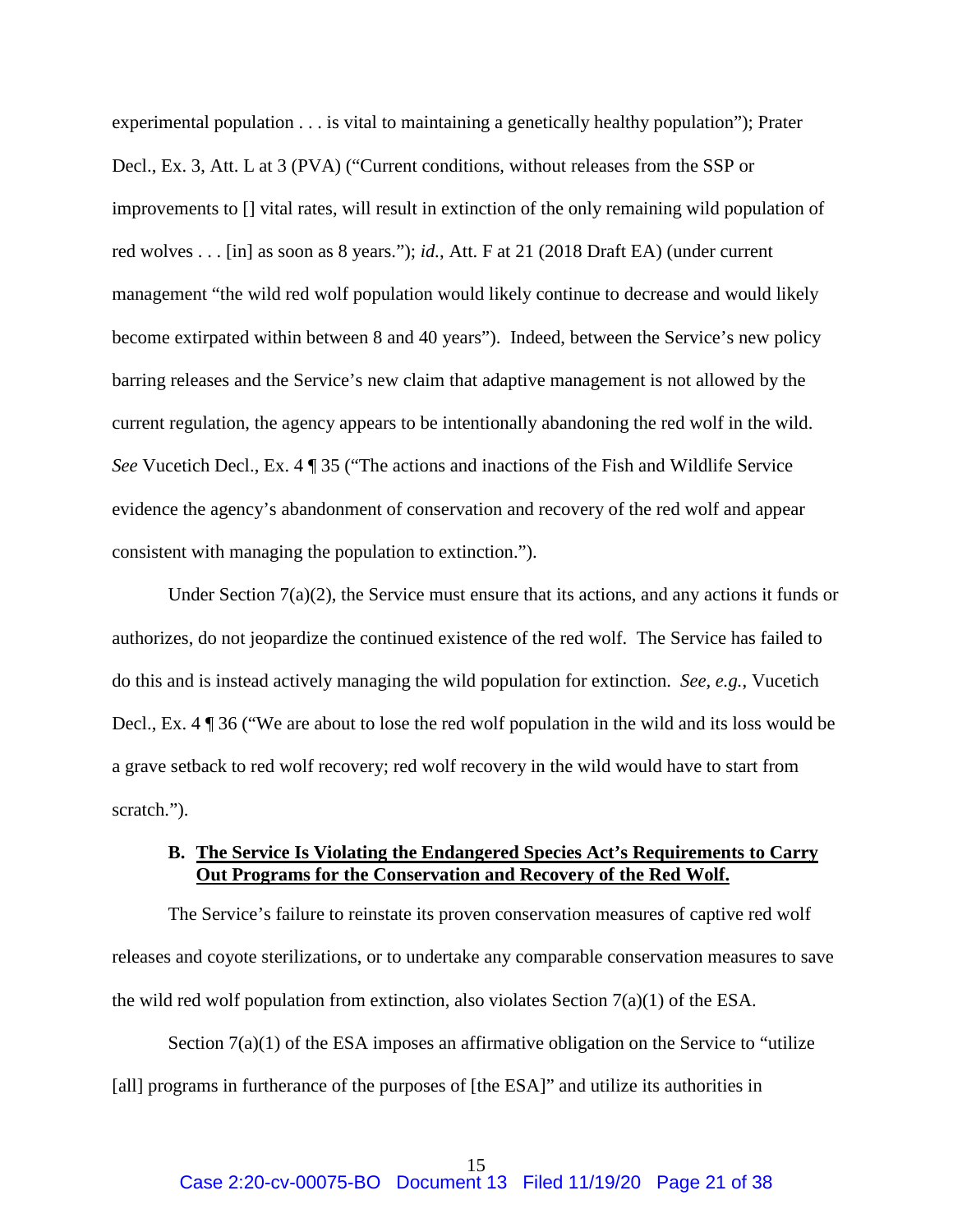experimental population . . . is vital to maintaining a genetically healthy population"); Prater Decl., Ex. 3, Att. L at 3 (PVA) ("Current conditions, without releases from the SSP or improvements to [] vital rates, will result in extinction of the only remaining wild population of red wolves . . . [in] as soon as 8 years."); *id.*, Att. F at 21 (2018 Draft EA) (under current management "the wild red wolf population would likely continue to decrease and would likely become extirpated within between 8 and 40 years"). Indeed, between the Service's new policy barring releases and the Service's new claim that adaptive management is not allowed by the current regulation, the agency appears to be intentionally abandoning the red wolf in the wild. *See* Vucetich Decl., Ex. 4 ¶ 35 ("The actions and inactions of the Fish and Wildlife Service evidence the agency's abandonment of conservation and recovery of the red wolf and appear consistent with managing the population to extinction.").

Under Section  $7(a)(2)$ , the Service must ensure that its actions, and any actions it funds or authorizes, do not jeopardize the continued existence of the red wolf. The Service has failed to do this and is instead actively managing the wild population for extinction. *See, e.g.*, Vucetich Decl., Ex. 4 ¶ 36 ("We are about to lose the red wolf population in the wild and its loss would be a grave setback to red wolf recovery; red wolf recovery in the wild would have to start from scratch.").

### **B. The Service Is Violating the Endangered Species Act's Requirements to Carry Out Programs for the Conservation and Recovery of the Red Wolf.**

The Service's failure to reinstate its proven conservation measures of captive red wolf releases and coyote sterilizations, or to undertake any comparable conservation measures to save the wild red wolf population from extinction, also violates Section  $7(a)(1)$  of the ESA.

Section 7(a)(1) of the ESA imposes an affirmative obligation on the Service to "utilize [all] programs in furtherance of the purposes of [the ESA]" and utilize its authorities in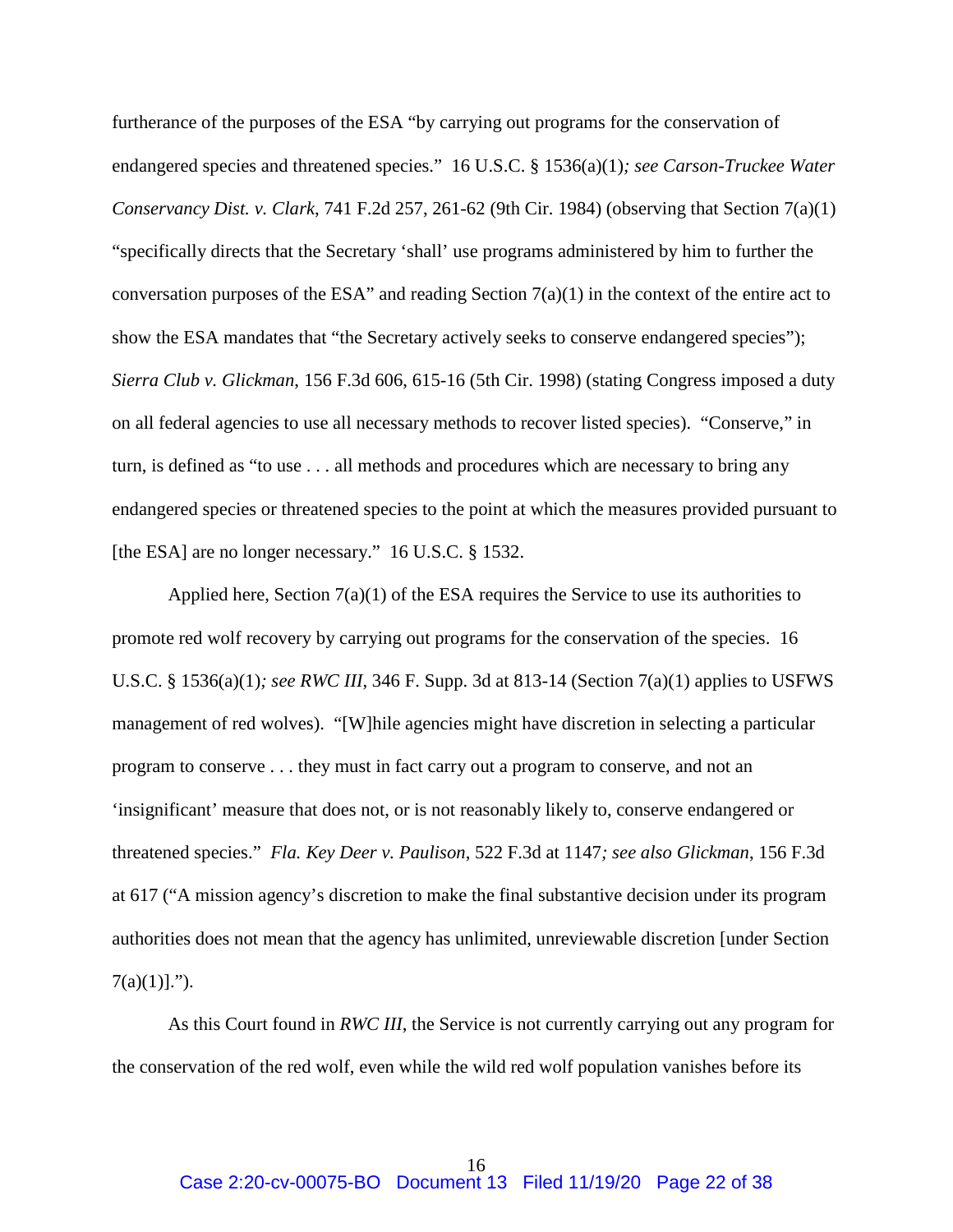furtherance of the purposes of the ESA "by carrying out programs for the conservation of endangered species and threatened species." 16 U.S.C. § 1536(a)(1)*; see Carson-Truckee Water Conservancy Dist. v. Clark*, 741 F.2d 257, 261-62 (9th Cir. 1984) (observing that Section 7(a)(1) "specifically directs that the Secretary 'shall' use programs administered by him to further the conversation purposes of the ESA" and reading Section  $7(a)(1)$  in the context of the entire act to show the ESA mandates that "the Secretary actively seeks to conserve endangered species"); *Sierra Club v. Glickman*, 156 F.3d 606, 615-16 (5th Cir. 1998) (stating Congress imposed a duty on all federal agencies to use all necessary methods to recover listed species). "Conserve," in turn, is defined as "to use . . . all methods and procedures which are necessary to bring any endangered species or threatened species to the point at which the measures provided pursuant to [the ESA] are no longer necessary." 16 U.S.C. § 1532.

Applied here, Section  $7(a)(1)$  of the ESA requires the Service to use its authorities to promote red wolf recovery by carrying out programs for the conservation of the species. 16 U.S.C. § 1536(a)(1)*; see RWC III*, 346 F. Supp. 3d at 813-14 (Section 7(a)(1) applies to USFWS management of red wolves). "[W]hile agencies might have discretion in selecting a particular program to conserve . . . they must in fact carry out a program to conserve, and not an 'insignificant' measure that does not, or is not reasonably likely to, conserve endangered or threatened species." *Fla. Key Deer v. Paulison*, 522 F.3d at 1147*; see also Glickman*, 156 F.3d at 617 ("A mission agency's discretion to make the final substantive decision under its program authorities does not mean that the agency has unlimited, unreviewable discretion [under Section  $7(a)(1)$ ].").

As this Court found in *RWC III*, the Service is not currently carrying out any program for the conservation of the red wolf, even while the wild red wolf population vanishes before its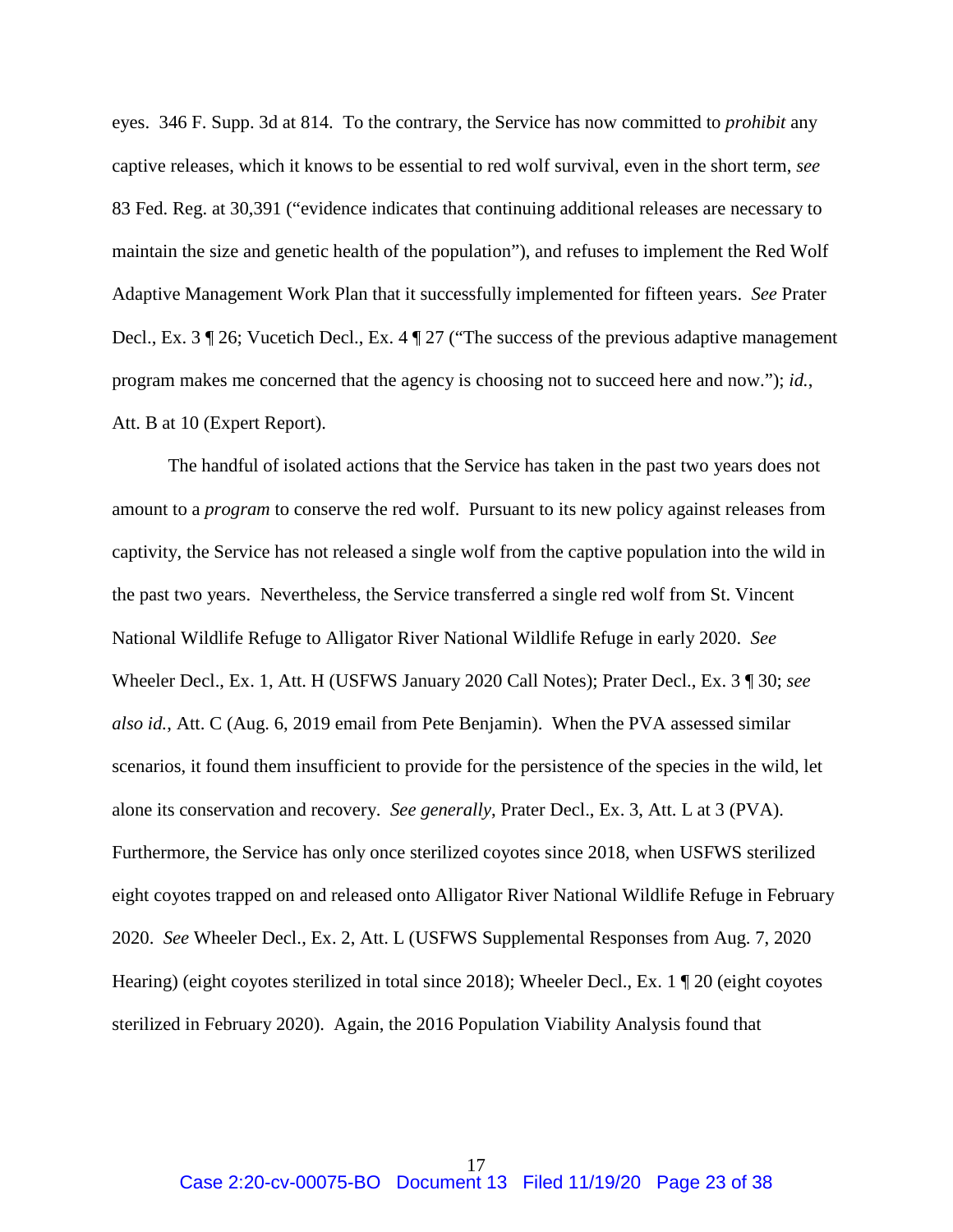eyes. 346 F. Supp. 3d at 814. To the contrary, the Service has now committed to *prohibit* any captive releases, which it knows to be essential to red wolf survival, even in the short term, *see*  83 Fed. Reg. at 30,391 ("evidence indicates that continuing additional releases are necessary to maintain the size and genetic health of the population"), and refuses to implement the Red Wolf Adaptive Management Work Plan that it successfully implemented for fifteen years. *See* Prater Decl., Ex. 3 ¶ 26; Vucetich Decl., Ex. 4 ¶ 27 ("The success of the previous adaptive management program makes me concerned that the agency is choosing not to succeed here and now."); *id.*, Att. B at 10 (Expert Report).

 The handful of isolated actions that the Service has taken in the past two years does not amount to a *program* to conserve the red wolf. Pursuant to its new policy against releases from captivity, the Service has not released a single wolf from the captive population into the wild in the past two years. Nevertheless, the Service transferred a single red wolf from St. Vincent National Wildlife Refuge to Alligator River National Wildlife Refuge in early 2020. *See* Wheeler Decl., Ex. 1, Att. H (USFWS January 2020 Call Notes); Prater Decl., Ex. 3 ¶ 30; *see also id.*, Att. C (Aug. 6, 2019 email from Pete Benjamin). When the PVA assessed similar scenarios, it found them insufficient to provide for the persistence of the species in the wild, let alone its conservation and recovery. *See generally*, Prater Decl., Ex. 3, Att. L at 3 (PVA). Furthermore, the Service has only once sterilized coyotes since 2018, when USFWS sterilized eight coyotes trapped on and released onto Alligator River National Wildlife Refuge in February 2020. *See* Wheeler Decl., Ex. 2, Att. L (USFWS Supplemental Responses from Aug. 7, 2020 Hearing) (eight coyotes sterilized in total since 2018); Wheeler Decl., Ex. 1 ¶ 20 (eight coyotes sterilized in February 2020). Again, the 2016 Population Viability Analysis found that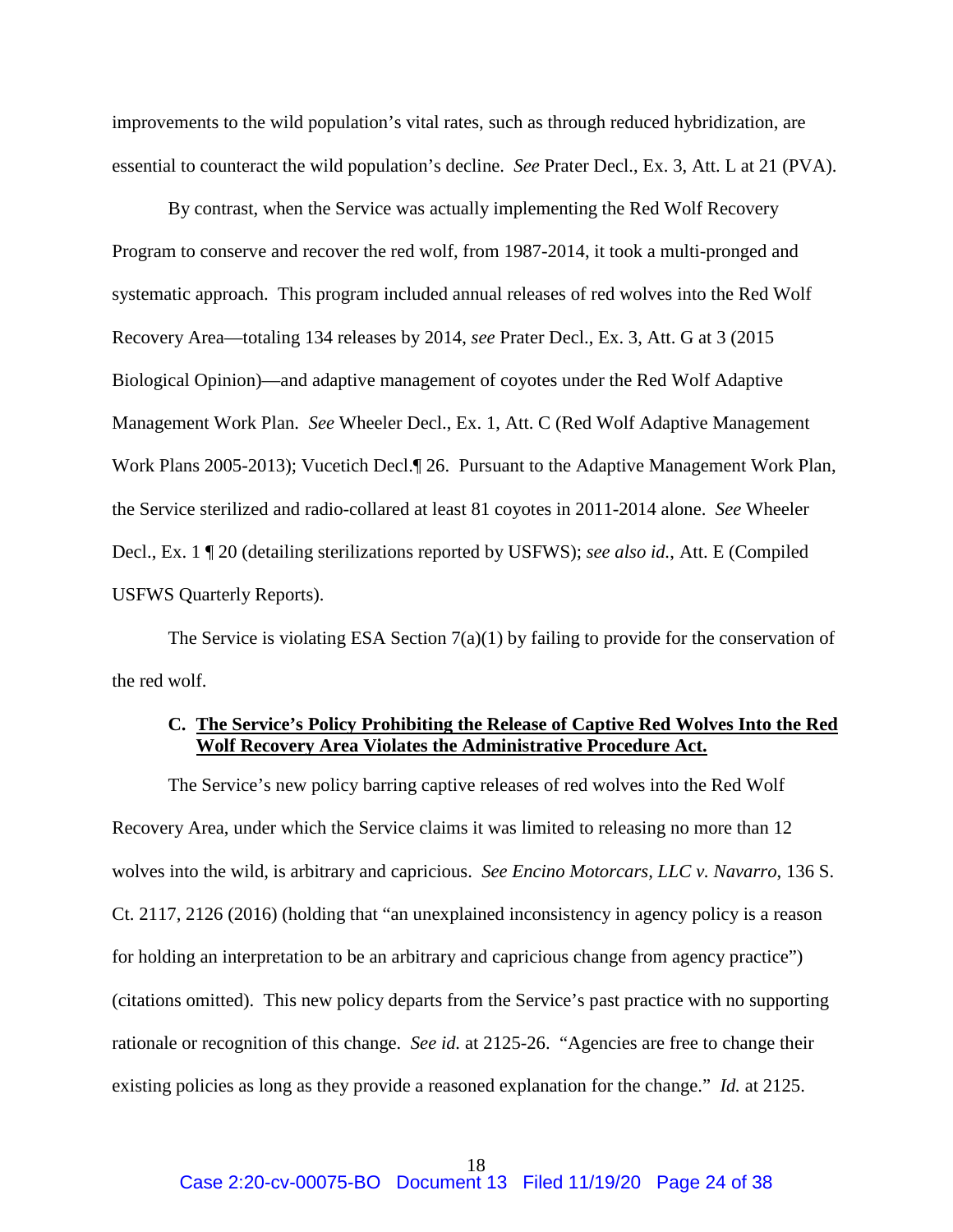improvements to the wild population's vital rates, such as through reduced hybridization, are essential to counteract the wild population's decline. *See* Prater Decl., Ex. 3, Att. L at 21 (PVA).

By contrast, when the Service was actually implementing the Red Wolf Recovery Program to conserve and recover the red wolf, from 1987-2014, it took a multi-pronged and systematic approach. This program included annual releases of red wolves into the Red Wolf Recovery Area—totaling 134 releases by 2014, *see* Prater Decl., Ex. 3, Att. G at 3 (2015 Biological Opinion)—and adaptive management of coyotes under the Red Wolf Adaptive Management Work Plan. *See* Wheeler Decl., Ex. 1, Att. C (Red Wolf Adaptive Management Work Plans 2005-2013); Vucetich Decl.¶ 26. Pursuant to the Adaptive Management Work Plan, the Service sterilized and radio-collared at least 81 coyotes in 2011-2014 alone. *See* Wheeler Decl., Ex. 1 ¶ 20 (detailing sterilizations reported by USFWS); *see also id.*, Att. E (Compiled USFWS Quarterly Reports).

The Service is violating ESA Section  $7(a)(1)$  by failing to provide for the conservation of the red wolf.

# **C. The Service's Policy Prohibiting the Release of Captive Red Wolves Into the Red Wolf Recovery Area Violates the Administrative Procedure Act.**

The Service's new policy barring captive releases of red wolves into the Red Wolf Recovery Area, under which the Service claims it was limited to releasing no more than 12 wolves into the wild, is arbitrary and capricious. *See Encino Motorcars, LLC v. Navarro*, 136 S. Ct. 2117, 2126 (2016) (holding that "an unexplained inconsistency in agency policy is a reason for holding an interpretation to be an arbitrary and capricious change from agency practice") (citations omitted). This new policy departs from the Service's past practice with no supporting rationale or recognition of this change. *See id.* at 2125-26. "Agencies are free to change their existing policies as long as they provide a reasoned explanation for the change." *Id.* at 2125.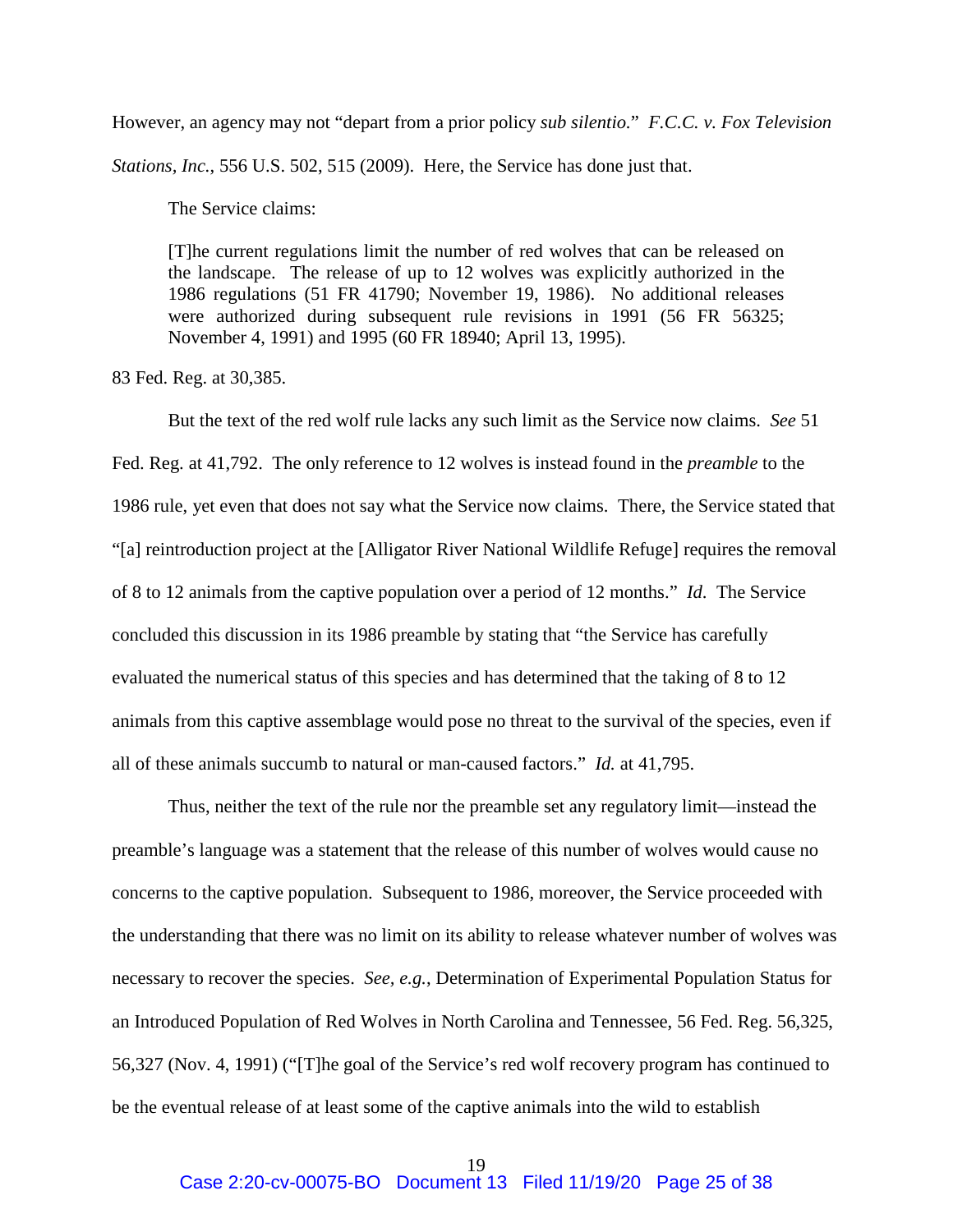However, an agency may not "depart from a prior policy *sub silentio.*" *F.C.C. v. Fox Television* 

*Stations, Inc.*, 556 U.S. 502, 515 (2009). Here, the Service has done just that.

The Service claims:

[T]he current regulations limit the number of red wolves that can be released on the landscape. The release of up to 12 wolves was explicitly authorized in the 1986 regulations (51 FR 41790; November 19, 1986). No additional releases were authorized during subsequent rule revisions in 1991 (56 FR 56325; November 4, 1991) and 1995 (60 FR 18940; April 13, 1995).

83 Fed. Reg. at 30,385.

But the text of the red wolf rule lacks any such limit as the Service now claims. *See* 51 Fed. Reg. at 41,792. The only reference to 12 wolves is instead found in the *preamble* to the 1986 rule, yet even that does not say what the Service now claims. There, the Service stated that "[a] reintroduction project at the [Alligator River National Wildlife Refuge] requires the removal of 8 to 12 animals from the captive population over a period of 12 months." *Id*. The Service concluded this discussion in its 1986 preamble by stating that "the Service has carefully evaluated the numerical status of this species and has determined that the taking of 8 to 12 animals from this captive assemblage would pose no threat to the survival of the species, even if all of these animals succumb to natural or man-caused factors." *Id.* at 41,795.

 Thus, neither the text of the rule nor the preamble set any regulatory limit—instead the preamble's language was a statement that the release of this number of wolves would cause no concerns to the captive population. Subsequent to 1986, moreover, the Service proceeded with the understanding that there was no limit on its ability to release whatever number of wolves was necessary to recover the species. *See, e.g.*, Determination of Experimental Population Status for an Introduced Population of Red Wolves in North Carolina and Tennessee, 56 Fed. Reg. 56,325, 56,327 (Nov. 4, 1991) ("[T]he goal of the Service's red wolf recovery program has continued to be the eventual release of at least some of the captive animals into the wild to establish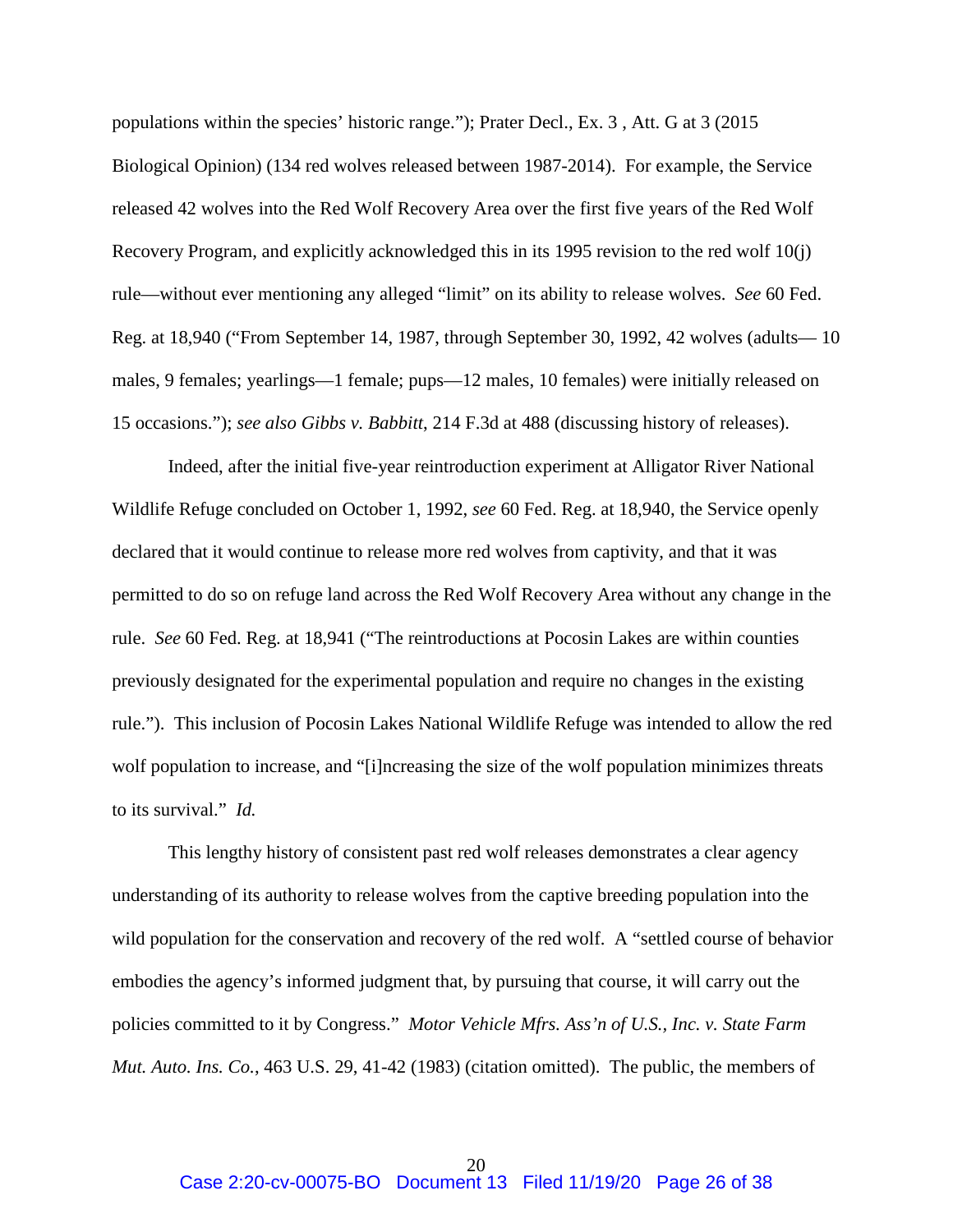populations within the species' historic range."); Prater Decl., Ex. 3 , Att. G at 3 (2015 Biological Opinion) (134 red wolves released between 1987-2014). For example, the Service released 42 wolves into the Red Wolf Recovery Area over the first five years of the Red Wolf Recovery Program, and explicitly acknowledged this in its 1995 revision to the red wolf 10(j) rule—without ever mentioning any alleged "limit" on its ability to release wolves. *See* 60 Fed. Reg. at 18,940 ("From September 14, 1987, through September 30, 1992, 42 wolves (adults— 10 males, 9 females; yearlings—1 female; pups—12 males, 10 females) were initially released on 15 occasions."); *see also Gibbs v. Babbitt*, 214 F.3d at 488 (discussing history of releases).

Indeed, after the initial five-year reintroduction experiment at Alligator River National Wildlife Refuge concluded on October 1, 1992, *see* 60 Fed. Reg. at 18,940, the Service openly declared that it would continue to release more red wolves from captivity, and that it was permitted to do so on refuge land across the Red Wolf Recovery Area without any change in the rule. *See* 60 Fed. Reg. at 18,941 ("The reintroductions at Pocosin Lakes are within counties previously designated for the experimental population and require no changes in the existing rule."). This inclusion of Pocosin Lakes National Wildlife Refuge was intended to allow the red wolf population to increase, and "[i]ncreasing the size of the wolf population minimizes threats to its survival." *Id.*

 This lengthy history of consistent past red wolf releases demonstrates a clear agency understanding of its authority to release wolves from the captive breeding population into the wild population for the conservation and recovery of the red wolf. A "settled course of behavior embodies the agency's informed judgment that, by pursuing that course, it will carry out the policies committed to it by Congress." *Motor Vehicle Mfrs. Ass'n of U.S., Inc. v. State Farm Mut. Auto. Ins. Co.*, 463 U.S. 29, 41-42 (1983) (citation omitted). The public, the members of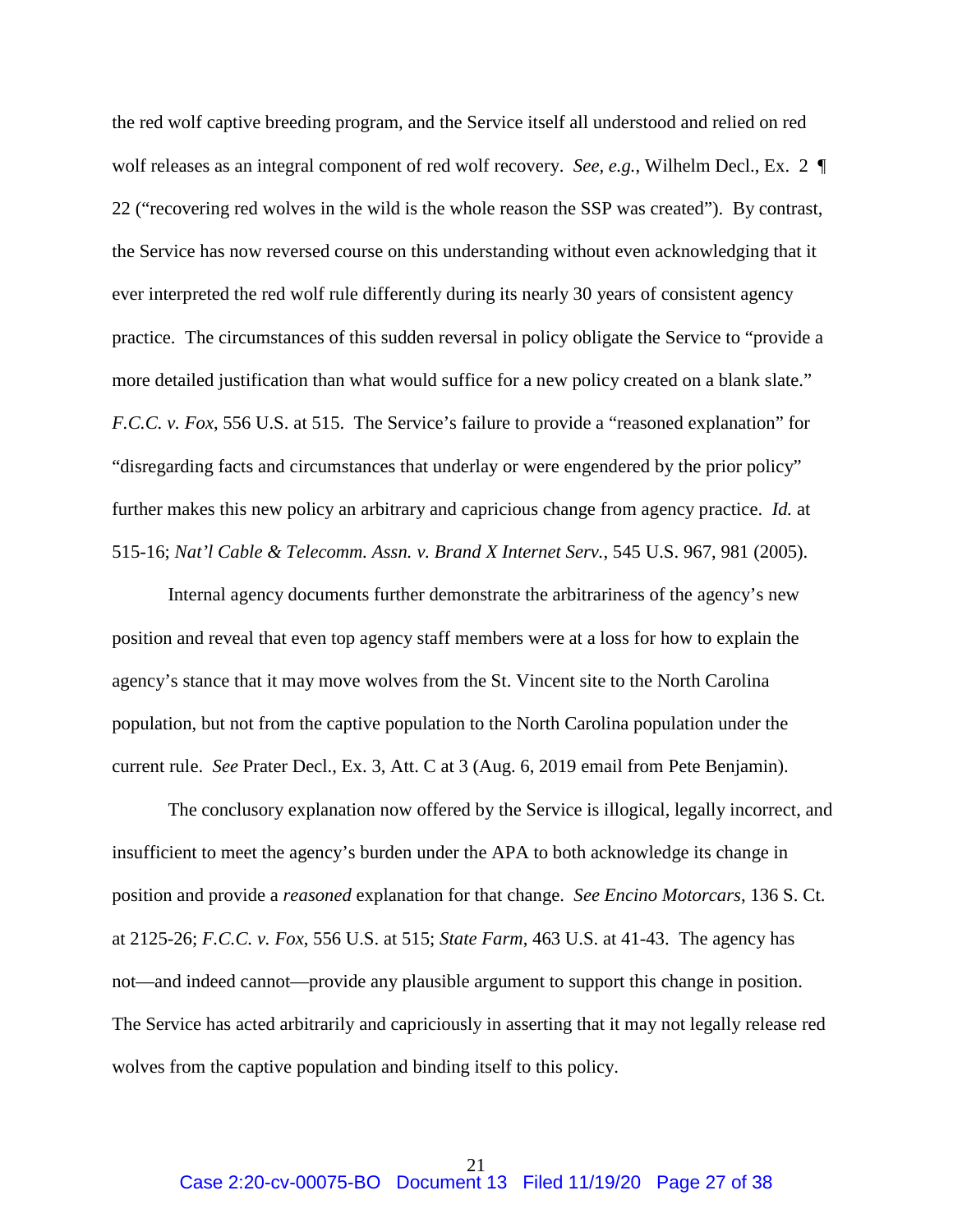the red wolf captive breeding program, and the Service itself all understood and relied on red wolf releases as an integral component of red wolf recovery. *See, e.g.*, Wilhelm Decl., Ex. 2 ¶ 22 ("recovering red wolves in the wild is the whole reason the SSP was created").By contrast, the Service has now reversed course on this understanding without even acknowledging that it ever interpreted the red wolf rule differently during its nearly 30 years of consistent agency practice. The circumstances of this sudden reversal in policy obligate the Service to "provide a more detailed justification than what would suffice for a new policy created on a blank slate." *F.C.C. v. Fox*, 556 U.S. at 515. The Service's failure to provide a "reasoned explanation" for "disregarding facts and circumstances that underlay or were engendered by the prior policy" further makes this new policy an arbitrary and capricious change from agency practice. *Id.* at 515-16; *Nat'l Cable & Telecomm. Assn. v. Brand X Internet Serv.*, 545 U.S. 967, 981 (2005).

 Internal agency documents further demonstrate the arbitrariness of the agency's new position and reveal that even top agency staff members were at a loss for how to explain the agency's stance that it may move wolves from the St. Vincent site to the North Carolina population, but not from the captive population to the North Carolina population under the current rule. *See* Prater Decl., Ex. 3, Att. C at 3 (Aug. 6, 2019 email from Pete Benjamin).

 The conclusory explanation now offered by the Service is illogical, legally incorrect, and insufficient to meet the agency's burden under the APA to both acknowledge its change in position and provide a *reasoned* explanation for that change. *See Encino Motorcars*, 136 S. Ct. at 2125-26; *F.C.C. v. Fox*, 556 U.S. at 515; *State Farm*, 463 U.S. at 41-43. The agency has not—and indeed cannot—provide any plausible argument to support this change in position. The Service has acted arbitrarily and capriciously in asserting that it may not legally release red wolves from the captive population and binding itself to this policy.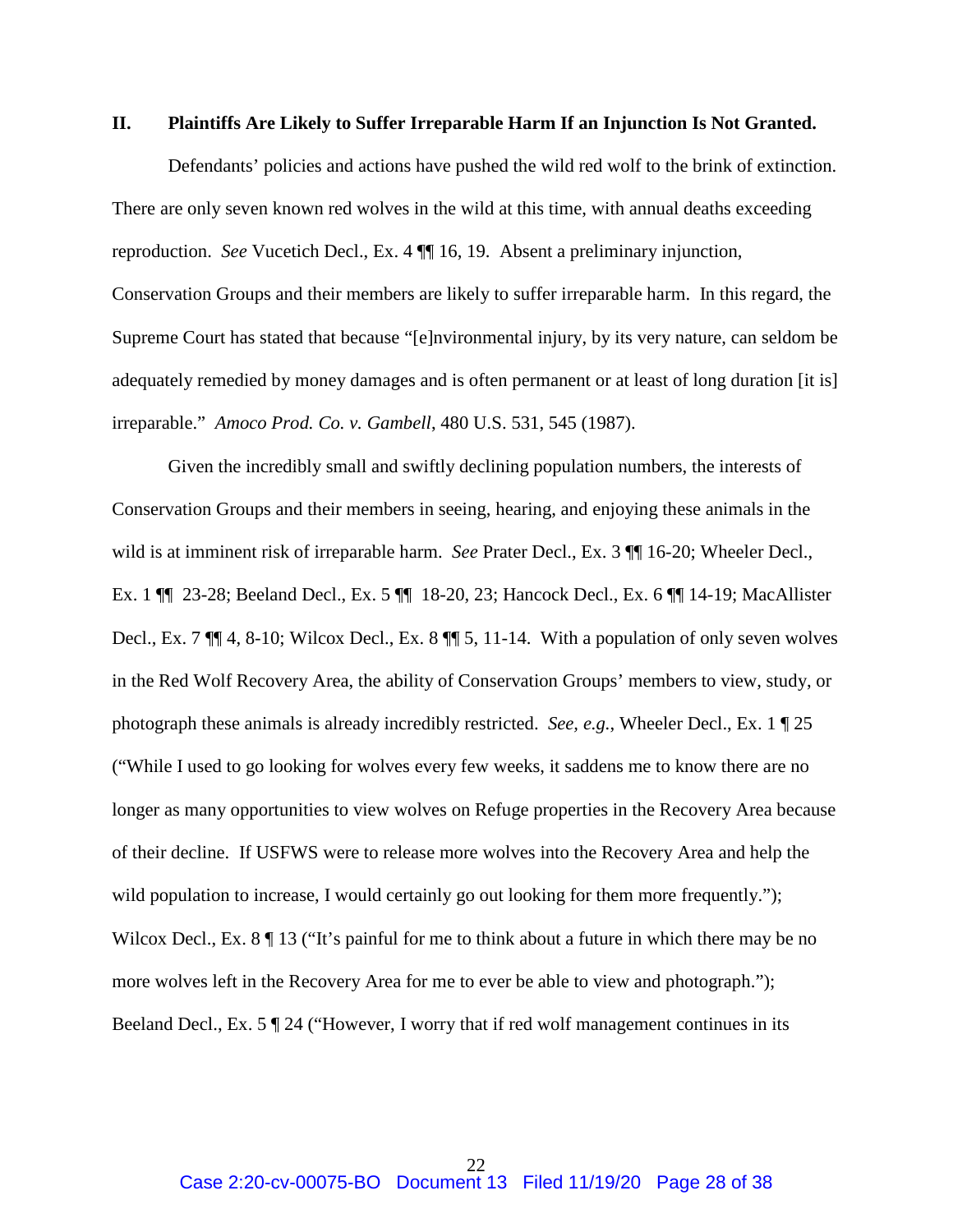#### **II. Plaintiffs Are Likely to Suffer Irreparable Harm If an Injunction Is Not Granted.**

Defendants' policies and actions have pushed the wild red wolf to the brink of extinction. There are only seven known red wolves in the wild at this time, with annual deaths exceeding reproduction. *See* Vucetich Decl., Ex. 4 ¶¶ 16, 19. Absent a preliminary injunction, Conservation Groups and their members are likely to suffer irreparable harm. In this regard, the Supreme Court has stated that because "[e]nvironmental injury, by its very nature, can seldom be adequately remedied by money damages and is often permanent or at least of long duration [it is] irreparable." *Amoco Prod. Co. v. Gambell*, 480 U.S. 531, 545 (1987).

Given the incredibly small and swiftly declining population numbers, the interests of Conservation Groups and their members in seeing, hearing, and enjoying these animals in the wild is at imminent risk of irreparable harm. *See* Prater Decl., Ex. 3 ¶¶ 16-20; Wheeler Decl., Ex. 1 ¶¶ 23-28; Beeland Decl., Ex. 5 ¶¶ 18-20, 23; Hancock Decl., Ex. 6 ¶¶ 14-19; MacAllister Decl., Ex. 7 ¶¶ 4, 8-10; Wilcox Decl., Ex. 8 ¶¶ 5, 11-14. With a population of only seven wolves in the Red Wolf Recovery Area, the ability of Conservation Groups' members to view, study, or photograph these animals is already incredibly restricted. *See, e.g.*, Wheeler Decl., Ex. 1 ¶ 25 ("While I used to go looking for wolves every few weeks, it saddens me to know there are no longer as many opportunities to view wolves on Refuge properties in the Recovery Area because of their decline. If USFWS were to release more wolves into the Recovery Area and help the wild population to increase, I would certainly go out looking for them more frequently."); Wilcox Decl., Ex. 8  $\P$  13 ("It's painful for me to think about a future in which there may be no more wolves left in the Recovery Area for me to ever be able to view and photograph."); Beeland Decl., Ex. 5 ¶ 24 ("However, I worry that if red wolf management continues in its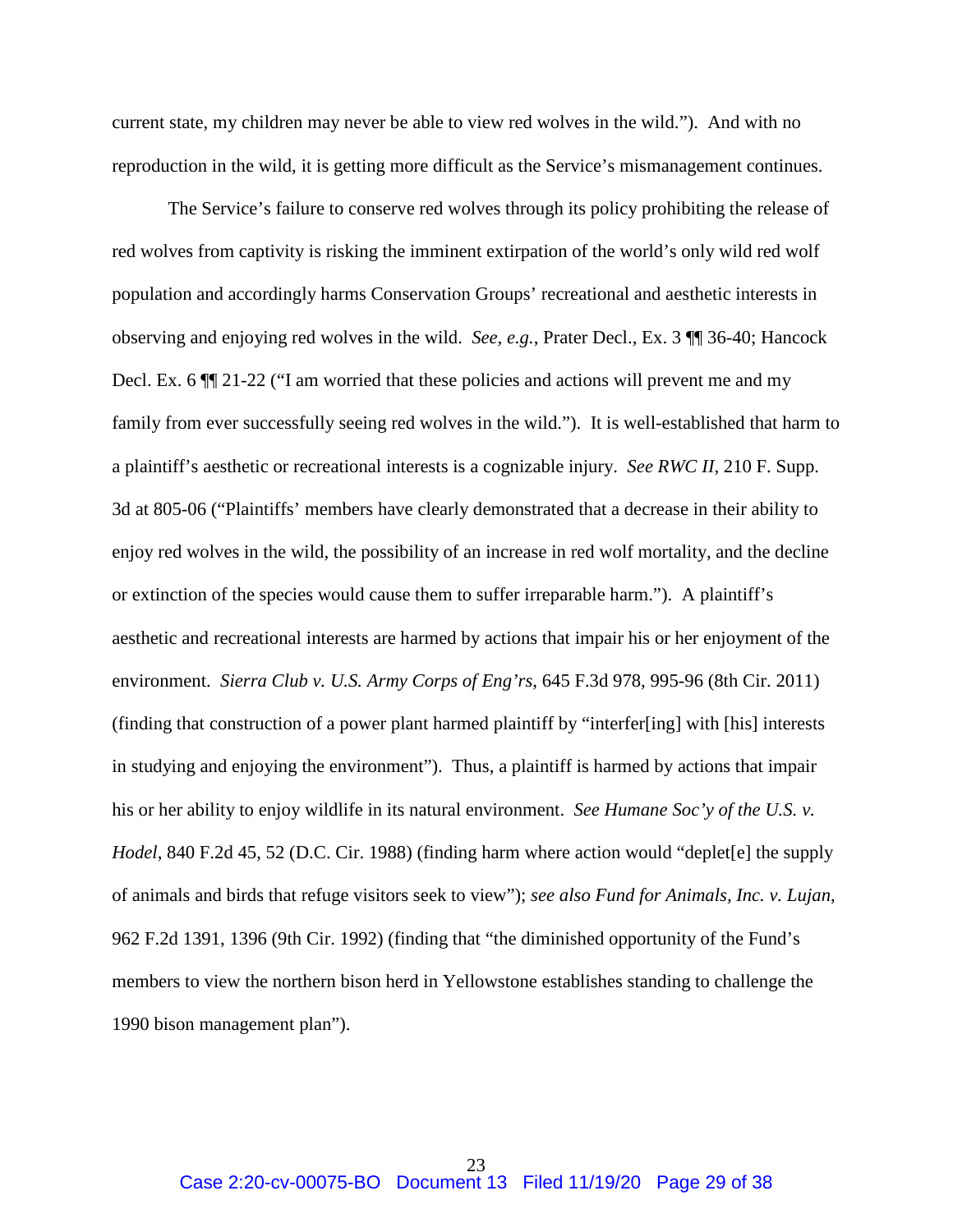current state, my children may never be able to view red wolves in the wild."). And with no reproduction in the wild, it is getting more difficult as the Service's mismanagement continues.

The Service's failure to conserve red wolves through its policy prohibiting the release of red wolves from captivity is risking the imminent extirpation of the world's only wild red wolf population and accordingly harms Conservation Groups' recreational and aesthetic interests in observing and enjoying red wolves in the wild. *See, e.g.*, Prater Decl., Ex. 3 ¶¶ 36-40; Hancock Decl. Ex. 6 ¶¶ 21-22 ("I am worried that these policies and actions will prevent me and my family from ever successfully seeing red wolves in the wild."). It is well-established that harm to a plaintiff's aesthetic or recreational interests is a cognizable injury. *See RWC II*, 210 F. Supp. 3d at 805-06 ("Plaintiffs' members have clearly demonstrated that a decrease in their ability to enjoy red wolves in the wild, the possibility of an increase in red wolf mortality, and the decline or extinction of the species would cause them to suffer irreparable harm."). A plaintiff's aesthetic and recreational interests are harmed by actions that impair his or her enjoyment of the environment. *Sierra Club v. U.S. Army Corps of Eng'rs*, 645 F.3d 978, 995-96 (8th Cir. 2011) (finding that construction of a power plant harmed plaintiff by "interfer[ing] with [his] interests in studying and enjoying the environment"). Thus, a plaintiff is harmed by actions that impair his or her ability to enjoy wildlife in its natural environment. *See Humane Soc'y of the U.S. v. Hodel*, 840 F.2d 45, 52 (D.C. Cir. 1988) (finding harm where action would "deplet[e] the supply of animals and birds that refuge visitors seek to view"); *see also Fund for Animals, Inc. v. Lujan*, 962 F.2d 1391, 1396 (9th Cir. 1992) (finding that "the diminished opportunity of the Fund's members to view the northern bison herd in Yellowstone establishes standing to challenge the 1990 bison management plan").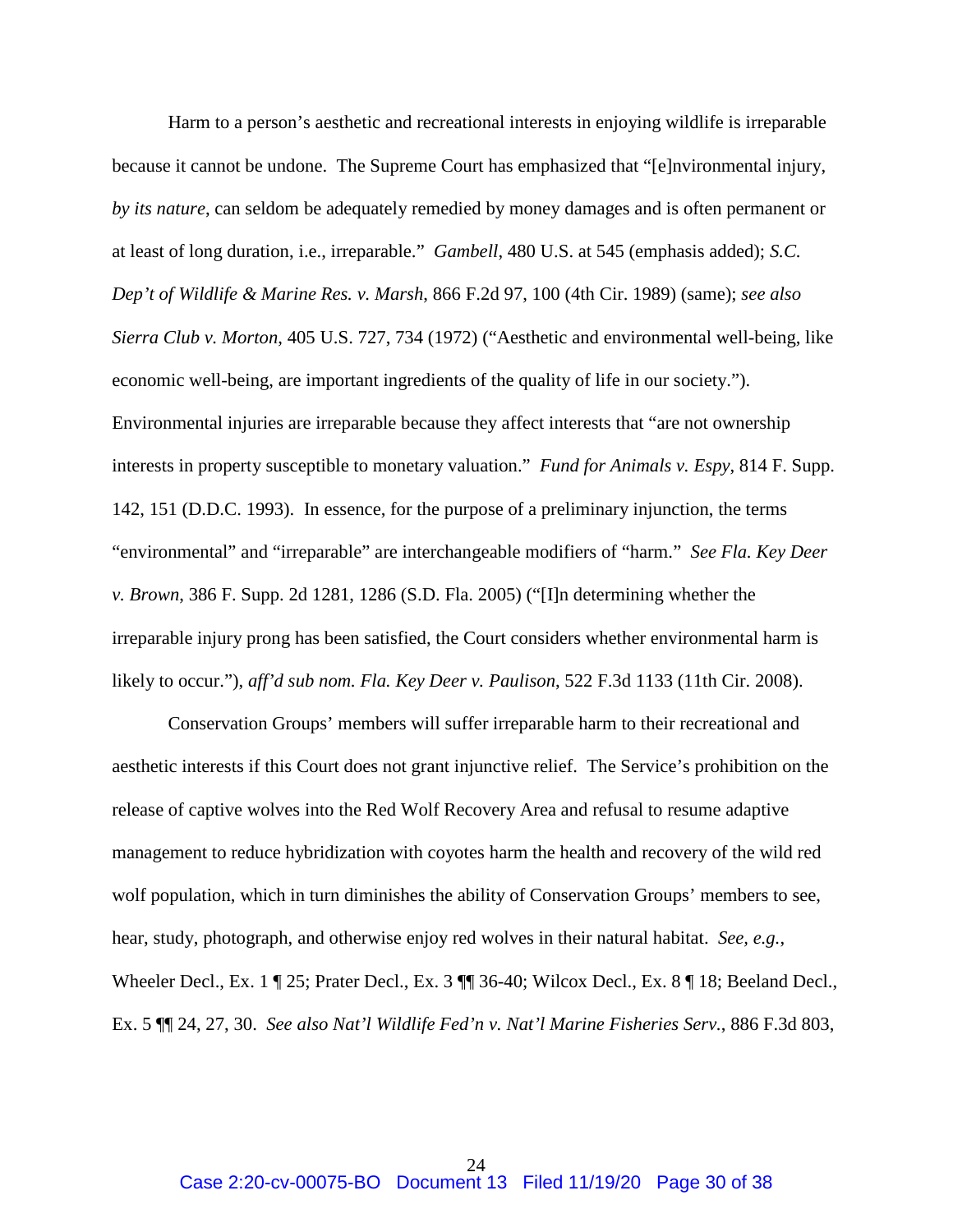Harm to a person's aesthetic and recreational interests in enjoying wildlife is irreparable because it cannot be undone. The Supreme Court has emphasized that "[e]nvironmental injury, *by its nature*, can seldom be adequately remedied by money damages and is often permanent or at least of long duration, i.e., irreparable." *Gambell*, 480 U.S. at 545 (emphasis added); *S.C. Dep't of Wildlife & Marine Res. v. Marsh*, 866 F.2d 97, 100 (4th Cir. 1989) (same); *see also Sierra Club v. Morton*, 405 U.S. 727, 734 (1972) ("Aesthetic and environmental well-being, like economic well-being, are important ingredients of the quality of life in our society."). Environmental injuries are irreparable because they affect interests that "are not ownership interests in property susceptible to monetary valuation." *Fund for Animals v. Espy*, 814 F. Supp. 142, 151 (D.D.C. 1993). In essence, for the purpose of a preliminary injunction, the terms "environmental" and "irreparable" are interchangeable modifiers of "harm." *See Fla. Key Deer v. Brown*, 386 F. Supp. 2d 1281, 1286 (S.D. Fla. 2005) ("[I]n determining whether the irreparable injury prong has been satisfied, the Court considers whether environmental harm is likely to occur."), *aff'd sub nom. Fla. Key Deer v. Paulison*, 522 F.3d 1133 (11th Cir. 2008).

Conservation Groups' members will suffer irreparable harm to their recreational and aesthetic interests if this Court does not grant injunctive relief. The Service's prohibition on the release of captive wolves into the Red Wolf Recovery Area and refusal to resume adaptive management to reduce hybridization with coyotes harm the health and recovery of the wild red wolf population, which in turn diminishes the ability of Conservation Groups' members to see, hear, study, photograph, and otherwise enjoy red wolves in their natural habitat. *See, e.g.*, Wheeler Decl., Ex. 1 ¶ 25; Prater Decl., Ex. 3 ¶ 36-40; Wilcox Decl., Ex. 8 ¶ 18; Beeland Decl., Ex. 5 ¶¶ 24, 27, 30. *See also Nat'l Wildlife Fed'n v. Nat'l Marine Fisheries Serv.*, 886 F.3d 803,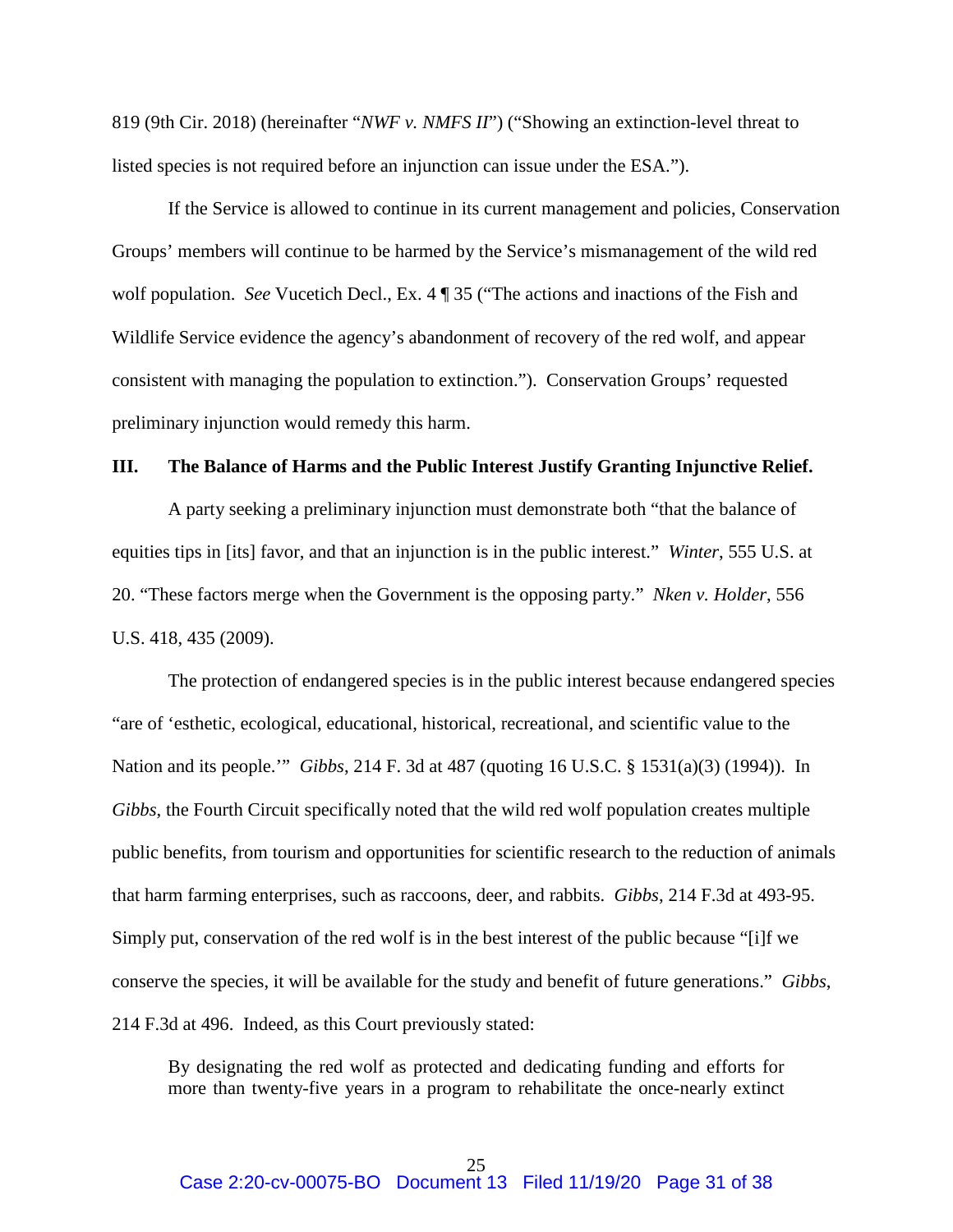819 (9th Cir. 2018) (hereinafter "*NWF v. NMFS II*") ("Showing an extinction-level threat to listed species is not required before an injunction can issue under the ESA.").

If the Service is allowed to continue in its current management and policies, Conservation Groups' members will continue to be harmed by the Service's mismanagement of the wild red wolf population. *See* Vucetich Decl., Ex. 4 ¶ 35 ("The actions and inactions of the Fish and Wildlife Service evidence the agency's abandonment of recovery of the red wolf, and appear consistent with managing the population to extinction."). Conservation Groups' requested preliminary injunction would remedy this harm.

#### **III. The Balance of Harms and the Public Interest Justify Granting Injunctive Relief.**

A party seeking a preliminary injunction must demonstrate both "that the balance of equities tips in [its] favor, and that an injunction is in the public interest." *Winter*, 555 U.S. at 20. "These factors merge when the Government is the opposing party." *Nken v. Holder*, 556 U.S. 418, 435 (2009).

The protection of endangered species is in the public interest because endangered species "are of 'esthetic, ecological, educational, historical, recreational, and scientific value to the Nation and its people.'" *Gibbs*, 214 F. 3d at 487 (quoting 16 U.S.C. § 1531(a)(3) (1994)). In *Gibbs*, the Fourth Circuit specifically noted that the wild red wolf population creates multiple public benefits, from tourism and opportunities for scientific research to the reduction of animals that harm farming enterprises, such as raccoons, deer, and rabbits. *Gibbs*, 214 F.3d at 493-95. Simply put, conservation of the red wolf is in the best interest of the public because "[i]f we conserve the species, it will be available for the study and benefit of future generations." *Gibbs*, 214 F.3d at 496. Indeed, as this Court previously stated:

By designating the red wolf as protected and dedicating funding and efforts for more than twenty-five years in a program to rehabilitate the once-nearly extinct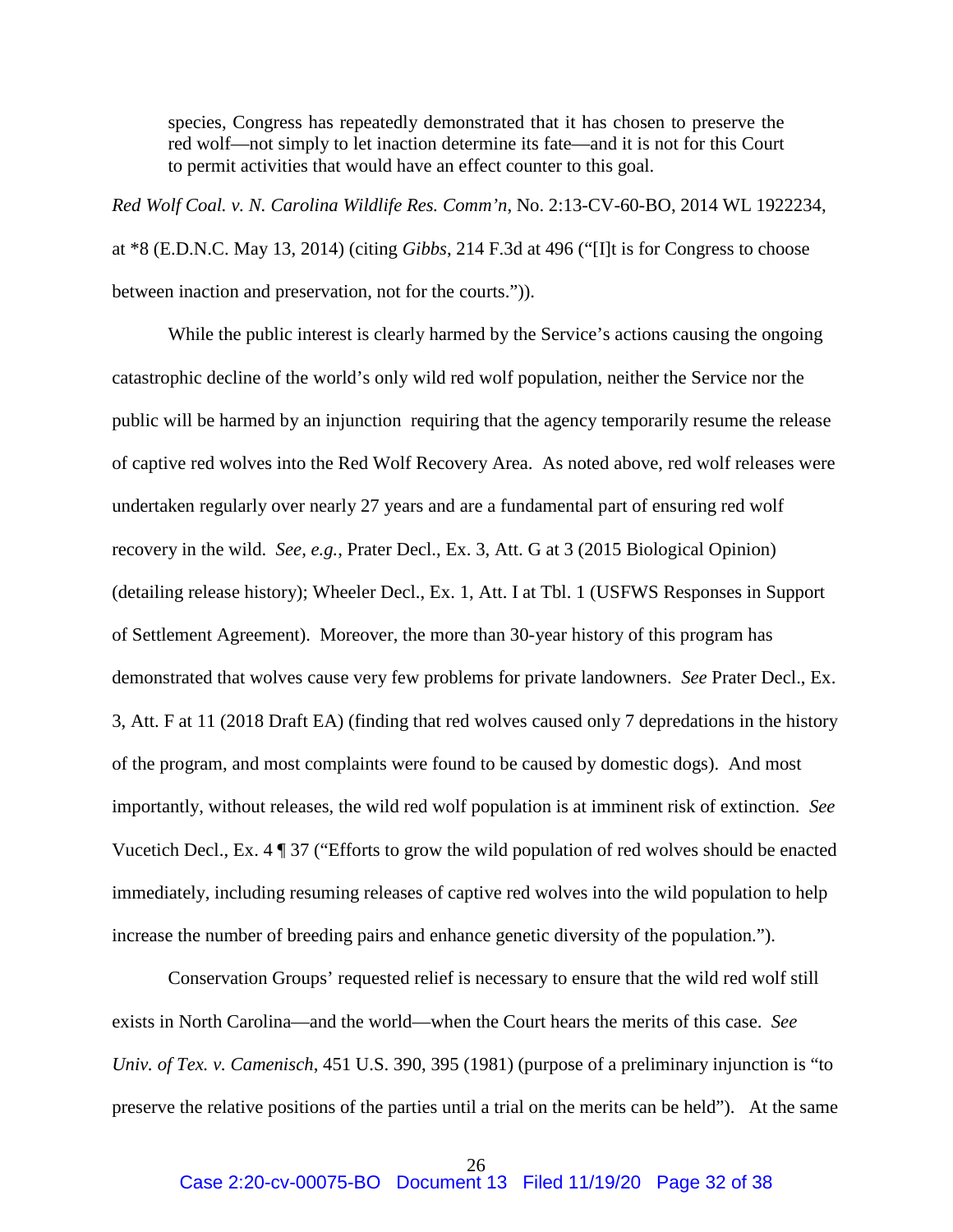species, Congress has repeatedly demonstrated that it has chosen to preserve the red wolf—not simply to let inaction determine its fate—and it is not for this Court to permit activities that would have an effect counter to this goal.

*Red Wolf Coal. v. N. Carolina Wildlife Res. Comm'n*, No. 2:13-CV-60-BO, 2014 WL 1922234, at \*8 (E.D.N.C. May 13, 2014) (citing *Gibbs*, 214 F.3d at 496 ("[I]t is for Congress to choose between inaction and preservation, not for the courts.")).

While the public interest is clearly harmed by the Service's actions causing the ongoing catastrophic decline of the world's only wild red wolf population, neither the Service nor the public will be harmed by an injunction requiring that the agency temporarily resume the release of captive red wolves into the Red Wolf Recovery Area. As noted above, red wolf releases were undertaken regularly over nearly 27 years and are a fundamental part of ensuring red wolf recovery in the wild. *See, e.g.*, Prater Decl., Ex. 3, Att. G at 3 (2015 Biological Opinion) (detailing release history); Wheeler Decl., Ex. 1, Att. I at Tbl. 1 (USFWS Responses in Support of Settlement Agreement). Moreover, the more than 30-year history of this program has demonstrated that wolves cause very few problems for private landowners. *See* Prater Decl., Ex. 3, Att. F at 11 (2018 Draft EA) (finding that red wolves caused only 7 depredations in the history of the program, and most complaints were found to be caused by domestic dogs). And most importantly, without releases, the wild red wolf population is at imminent risk of extinction. *See*  Vucetich Decl., Ex. 4 ¶ 37 ("Efforts to grow the wild population of red wolves should be enacted immediately, including resuming releases of captive red wolves into the wild population to help increase the number of breeding pairs and enhance genetic diversity of the population.").

Conservation Groups' requested relief is necessary to ensure that the wild red wolf still exists in North Carolina—and the world—when the Court hears the merits of this case. *See Univ. of Tex. v. Camenisch*, 451 U.S. 390, 395 (1981) (purpose of a preliminary injunction is "to preserve the relative positions of the parties until a trial on the merits can be held"). At the same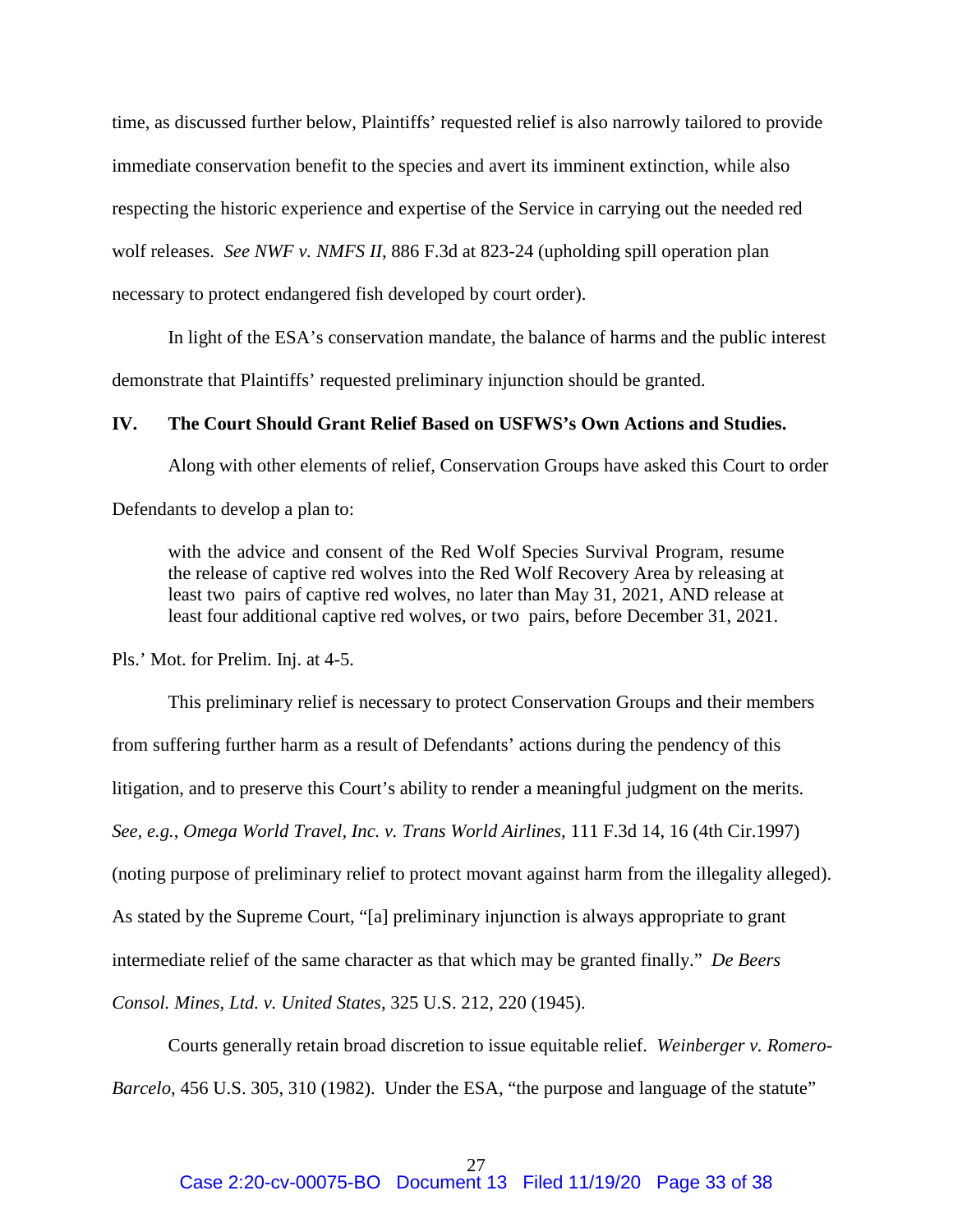time, as discussed further below, Plaintiffs' requested relief is also narrowly tailored to provide immediate conservation benefit to the species and avert its imminent extinction, while also respecting the historic experience and expertise of the Service in carrying out the needed red wolf releases. *See NWF v. NMFS II*, 886 F.3d at 823-24 (upholding spill operation plan necessary to protect endangered fish developed by court order).

 In light of the ESA's conservation mandate, the balance of harms and the public interest demonstrate that Plaintiffs' requested preliminary injunction should be granted.

#### **IV. The Court Should Grant Relief Based on USFWS's Own Actions and Studies.**

Along with other elements of relief, Conservation Groups have asked this Court to order

Defendants to develop a plan to:

with the advice and consent of the Red Wolf Species Survival Program, resume the release of captive red wolves into the Red Wolf Recovery Area by releasing at least two pairs of captive red wolves, no later than May 31, 2021, AND release at least four additional captive red wolves, or two pairs, before December 31, 2021.

Pls.' Mot. for Prelim. Inj. at 4-5.

This preliminary relief is necessary to protect Conservation Groups and their members from suffering further harm as a result of Defendants' actions during the pendency of this litigation, and to preserve this Court's ability to render a meaningful judgment on the merits. *See, e.g.*, *Omega World Travel, Inc. v. Trans World Airlines*, 111 F.3d 14, 16 (4th Cir.1997) (noting purpose of preliminary relief to protect movant against harm from the illegality alleged). As stated by the Supreme Court, "[a] preliminary injunction is always appropriate to grant intermediate relief of the same character as that which may be granted finally." *De Beers Consol. Mines, Ltd. v. United States*, 325 U.S. 212, 220 (1945).

Courts generally retain broad discretion to issue equitable relief. *Weinberger v. Romero-Barcelo*, 456 U.S. 305, 310 (1982). Under the ESA, "the purpose and language of the statute"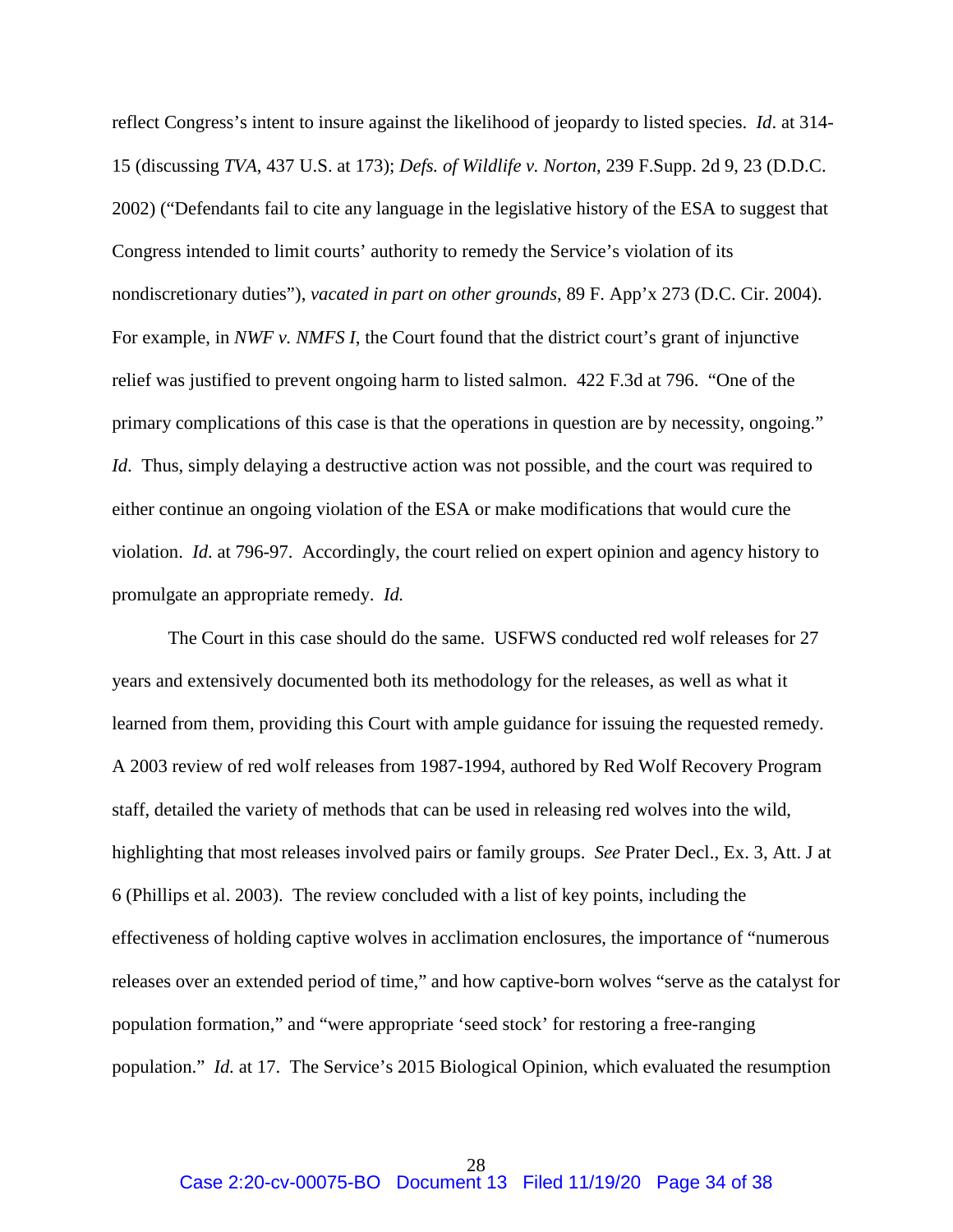reflect Congress's intent to insure against the likelihood of jeopardy to listed species. *Id*. at 314- 15 (discussing *TVA*, 437 U.S. at 173); *Defs. of Wildlife v. Norton*, 239 F.Supp. 2d 9, 23 (D.D.C. 2002) ("Defendants fail to cite any language in the legislative history of the ESA to suggest that Congress intended to limit courts' authority to remedy the Service's violation of its nondiscretionary duties"), *vacated in part on other grounds*, 89 F. App'x 273 (D.C. Cir. 2004). For example, in *NWF v. NMFS I*, the Court found that the district court's grant of injunctive relief was justified to prevent ongoing harm to listed salmon. 422 F.3d at 796. "One of the primary complications of this case is that the operations in question are by necessity, ongoing." *Id.* Thus, simply delaying a destructive action was not possible, and the court was required to either continue an ongoing violation of the ESA or make modifications that would cure the violation. *Id*. at 796-97. Accordingly, the court relied on expert opinion and agency history to promulgate an appropriate remedy. *Id.*

 The Court in this case should do the same. USFWS conducted red wolf releases for 27 years and extensively documented both its methodology for the releases, as well as what it learned from them, providing this Court with ample guidance for issuing the requested remedy. A 2003 review of red wolf releases from 1987-1994, authored by Red Wolf Recovery Program staff, detailed the variety of methods that can be used in releasing red wolves into the wild, highlighting that most releases involved pairs or family groups. *See* Prater Decl., Ex. 3, Att. J at 6 (Phillips et al. 2003). The review concluded with a list of key points, including the effectiveness of holding captive wolves in acclimation enclosures, the importance of "numerous releases over an extended period of time," and how captive-born wolves "serve as the catalyst for population formation," and "were appropriate 'seed stock' for restoring a free-ranging population." *Id.* at 17. The Service's 2015 Biological Opinion, which evaluated the resumption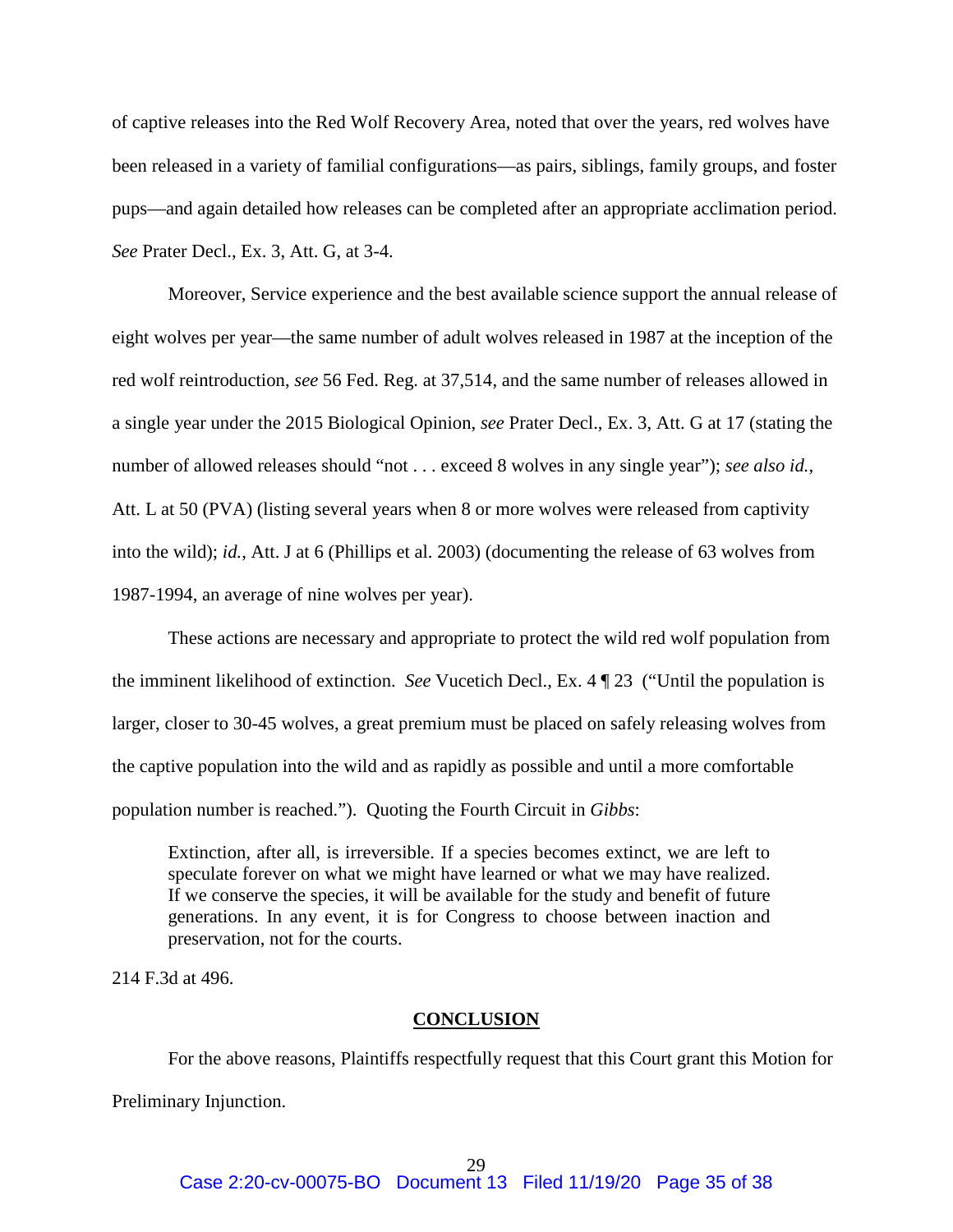of captive releases into the Red Wolf Recovery Area, noted that over the years, red wolves have been released in a variety of familial configurations—as pairs, siblings, family groups, and foster pups—and again detailed how releases can be completed after an appropriate acclimation period. *See* Prater Decl., Ex. 3, Att. G, at 3-4.

Moreover, Service experience and the best available science support the annual release of eight wolves per year—the same number of adult wolves released in 1987 at the inception of the red wolf reintroduction, *see* 56 Fed. Reg. at 37,514, and the same number of releases allowed in a single year under the 2015 Biological Opinion, *see* Prater Decl., Ex. 3, Att. G at 17 (stating the number of allowed releases should "not . . . exceed 8 wolves in any single year"); *see also id.*, Att. L at 50 (PVA) (listing several years when 8 or more wolves were released from captivity into the wild); *id.*, Att. J at 6 (Phillips et al. 2003) (documenting the release of 63 wolves from 1987-1994, an average of nine wolves per year).

 These actions are necessary and appropriate to protect the wild red wolf population from the imminent likelihood of extinction. *See* Vucetich Decl., Ex. 4 ¶ 23 ("Until the population is larger, closer to 30-45 wolves, a great premium must be placed on safely releasing wolves from the captive population into the wild and as rapidly as possible and until a more comfortable population number is reached."). Quoting the Fourth Circuit in *Gibbs*:

Extinction, after all, is irreversible. If a species becomes extinct, we are left to speculate forever on what we might have learned or what we may have realized. If we conserve the species, it will be available for the study and benefit of future generations. In any event, it is for Congress to choose between inaction and preservation, not for the courts.

214 F.3d at 496.

#### **CONCLUSION**

 For the above reasons, Plaintiffs respectfully request that this Court grant this Motion for Preliminary Injunction.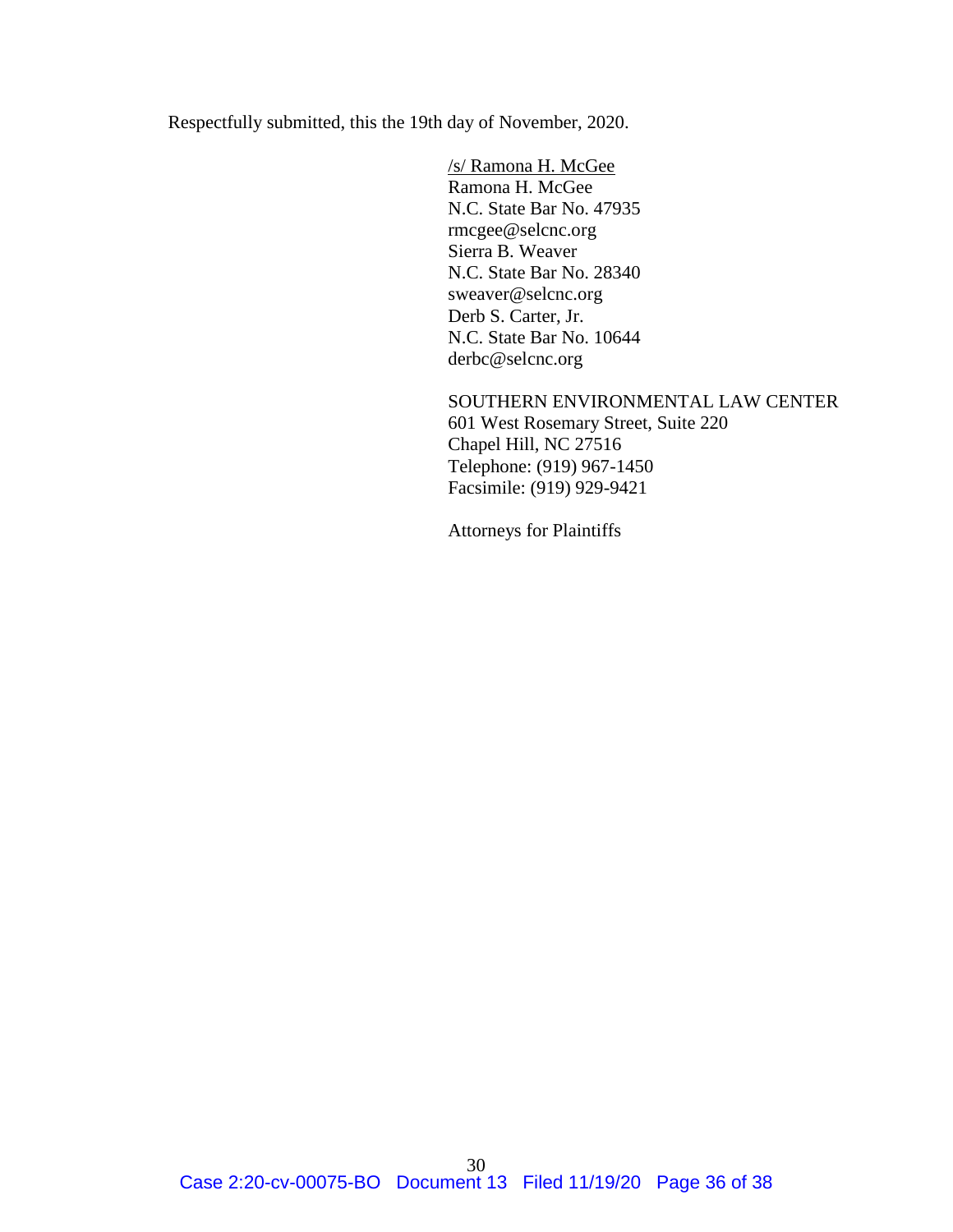Respectfully submitted, this the 19th day of November, 2020.

/s/ Ramona H. McGee Ramona H. McGee N.C. State Bar No. 47935 rmcgee@selcnc.org Sierra B. Weaver N.C. State Bar No. 28340 sweaver@selcnc.org Derb S. Carter, Jr. N.C. State Bar No. 10644 derbc@selcnc.org

SOUTHERN ENVIRONMENTAL LAW CENTER 601 West Rosemary Street, Suite 220 Chapel Hill, NC 27516 Telephone: (919) 967-1450 Facsimile: (919) 929-9421

Attorneys for Plaintiffs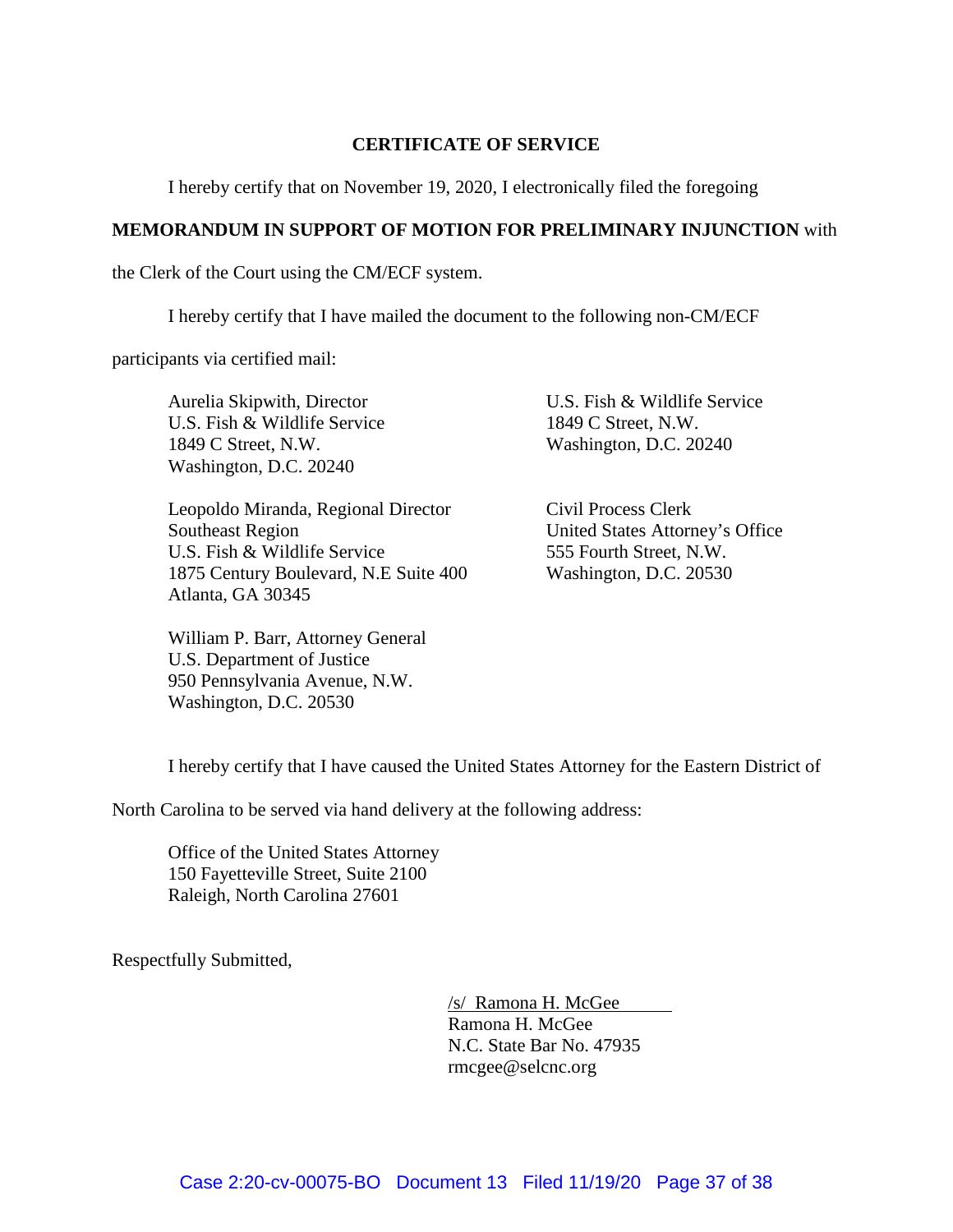# **CERTIFICATE OF SERVICE**

I hereby certify that on November 19, 2020, I electronically filed the foregoing

### **MEMORANDUM IN SUPPORT OF MOTION FOR PRELIMINARY INJUNCTION** with

the Clerk of the Court using the CM/ECF system.

I hereby certify that I have mailed the document to the following non-CM/ECF

participants via certified mail:

Aurelia Skipwith, Director U.S. Fish & Wildlife Service 1849 C Street, N.W. Washington, D.C. 20240

Leopoldo Miranda, Regional Director Southeast Region U.S. Fish & Wildlife Service 1875 Century Boulevard, N.E Suite 400 Atlanta, GA 30345

William P. Barr, Attorney General U.S. Department of Justice 950 Pennsylvania Avenue, N.W. Washington, D.C. 20530

U.S. Fish & Wildlife Service 1849 C Street, N.W. Washington, D.C. 20240

Civil Process Clerk United States Attorney's Office 555 Fourth Street, N.W. Washington, D.C. 20530

I hereby certify that I have caused the United States Attorney for the Eastern District of

North Carolina to be served via hand delivery at the following address:

Office of the United States Attorney 150 Fayetteville Street, Suite 2100 Raleigh, North Carolina 27601

Respectfully Submitted,

/s/ Ramona H. McGee Ramona H. McGee N.C. State Bar No. 47935 rmcgee@selcnc.org